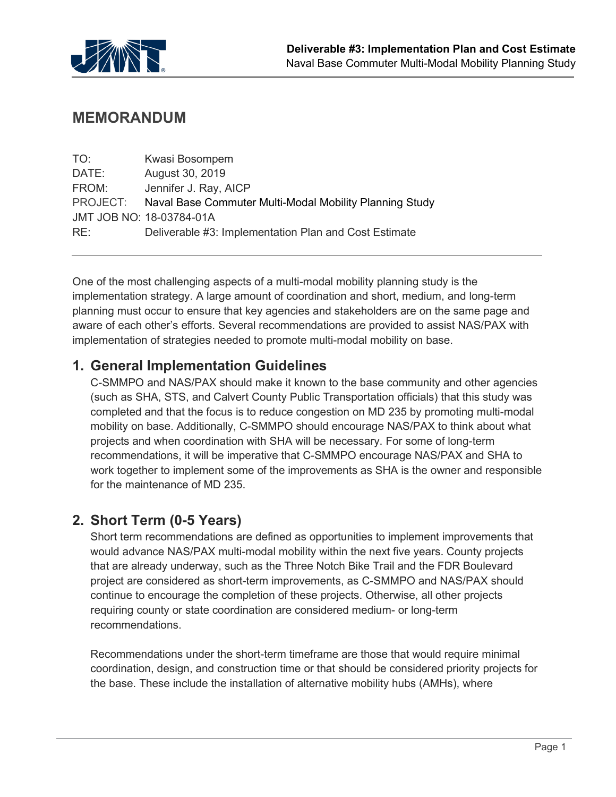

## **MEMORANDUM**

| TO:      | Kwasi Bosompem                                          |
|----------|---------------------------------------------------------|
| DATE:    | August 30, 2019                                         |
| FROM:    | Jennifer J. Ray, AICP                                   |
| PROJECT: | Naval Base Commuter Multi-Modal Mobility Planning Study |
|          | JMT JOB NO: 18-03784-01A                                |
| RE:      | Deliverable #3: Implementation Plan and Cost Estimate   |

One of the most challenging aspects of a multi-modal mobility planning study is the implementation strategy. A large amount of coordination and short, medium, and long-term planning must occur to ensure that key agencies and stakeholders are on the same page and aware of each other's efforts. Several recommendations are provided to assist NAS/PAX with implementation of strategies needed to promote multi-modal mobility on base.

### **1. General Implementation Guidelines**

C-SMMPO and NAS/PAX should make it known to the base community and other agencies (such as SHA, STS, and Calvert County Public Transportation officials) that this study was completed and that the focus is to reduce congestion on MD 235 by promoting multi-modal mobility on base. Additionally, C-SMMPO should encourage NAS/PAX to think about what projects and when coordination with SHA will be necessary. For some of long-term recommendations, it will be imperative that C-SMMPO encourage NAS/PAX and SHA to work together to implement some of the improvements as SHA is the owner and responsible for the maintenance of MD 235.

### **2. Short Term (0-5 Years)**

Short term recommendations are defined as opportunities to implement improvements that would advance NAS/PAX multi-modal mobility within the next five years. County projects that are already underway, such as the Three Notch Bike Trail and the FDR Boulevard project are considered as short-term improvements, as C-SMMPO and NAS/PAX should continue to encourage the completion of these projects. Otherwise, all other projects requiring county or state coordination are considered medium- or long-term recommendations.

Recommendations under the short-term timeframe are those that would require minimal coordination, design, and construction time or that should be considered priority projects for the base. These include the installation of alternative mobility hubs (AMHs), where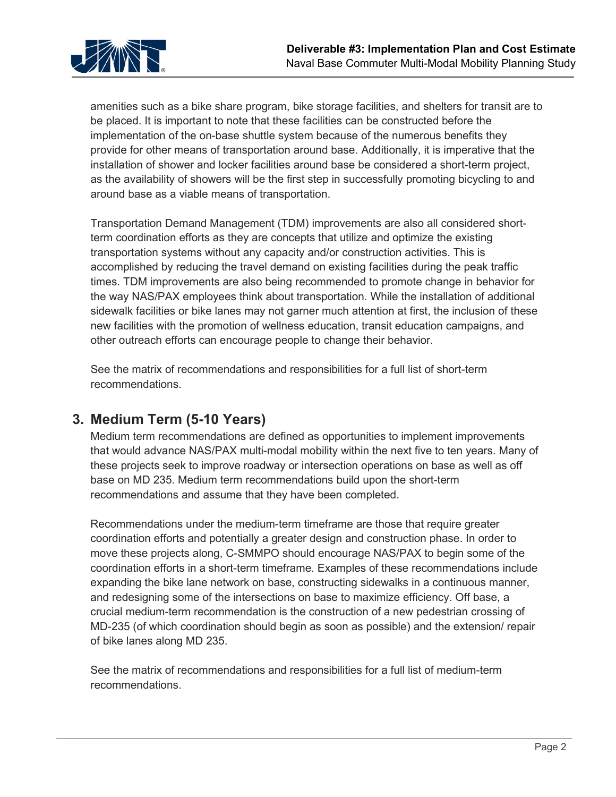

amenities such as a bike share program, bike storage facilities, and shelters for transit are to be placed. It is important to note that these facilities can be constructed before the implementation of the on-base shuttle system because of the numerous benefits they provide for other means of transportation around base. Additionally, it is imperative that the installation of shower and locker facilities around base be considered a short-term project, as the availability of showers will be the first step in successfully promoting bicycling to and around base as a viable means of transportation.

Transportation Demand Management (TDM) improvements are also all considered shortterm coordination efforts as they are concepts that utilize and optimize the existing transportation systems without any capacity and/or construction activities. This is accomplished by reducing the travel demand on existing facilities during the peak traffic times. TDM improvements are also being recommended to promote change in behavior for the way NAS/PAX employees think about transportation. While the installation of additional sidewalk facilities or bike lanes may not garner much attention at first, the inclusion of these new facilities with the promotion of wellness education, transit education campaigns, and other outreach efforts can encourage people to change their behavior.

See the matrix of recommendations and responsibilities for a full list of short-term recommendations.

## **3. Medium Term (5-10 Years)**

Medium term recommendations are defined as opportunities to implement improvements that would advance NAS/PAX multi-modal mobility within the next five to ten years. Many of these projects seek to improve roadway or intersection operations on base as well as off base on MD 235. Medium term recommendations build upon the short-term recommendations and assume that they have been completed.

Recommendations under the medium-term timeframe are those that require greater coordination efforts and potentially a greater design and construction phase. In order to move these projects along, C-SMMPO should encourage NAS/PAX to begin some of the coordination efforts in a short-term timeframe. Examples of these recommendations include expanding the bike lane network on base, constructing sidewalks in a continuous manner, and redesigning some of the intersections on base to maximize efficiency. Off base, a crucial medium-term recommendation is the construction of a new pedestrian crossing of MD-235 (of which coordination should begin as soon as possible) and the extension/ repair of bike lanes along MD 235.

See the matrix of recommendations and responsibilities for a full list of medium-term recommendations.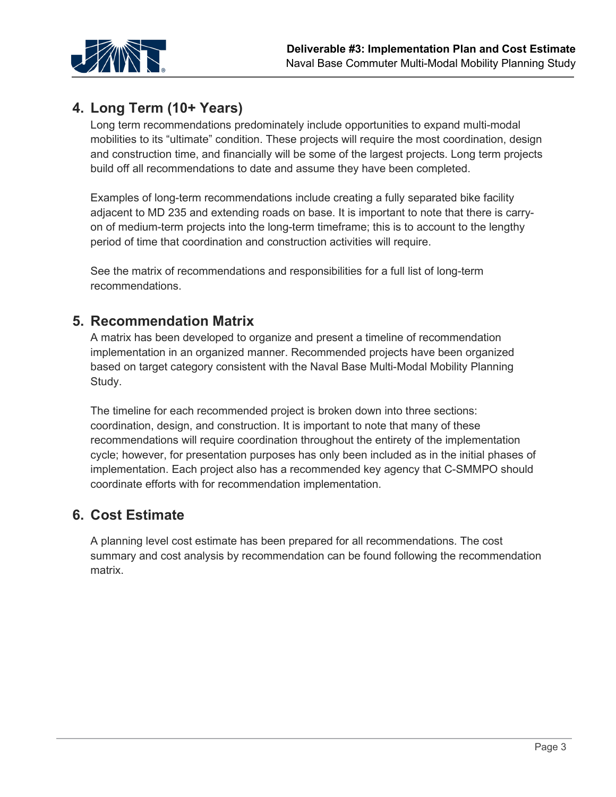

# **4. Long Term (10+ Years)**

Long term recommendations predominately include opportunities to expand multi-modal mobilities to its "ultimate" condition. These projects will require the most coordination, design and construction time, and financially will be some of the largest projects. Long term projects build off all recommendations to date and assume they have been completed.

Examples of long-term recommendations include creating a fully separated bike facility adjacent to MD 235 and extending roads on base. It is important to note that there is carryon of medium-term projects into the long-term timeframe; this is to account to the lengthy period of time that coordination and construction activities will require.

See the matrix of recommendations and responsibilities for a full list of long-term recommendations.

### **5. Recommendation Matrix**

A matrix has been developed to organize and present a timeline of recommendation implementation in an organized manner. Recommended projects have been organized based on target category consistent with the Naval Base Multi-Modal Mobility Planning Study.

The timeline for each recommended project is broken down into three sections: coordination, design, and construction. It is important to note that many of these recommendations will require coordination throughout the entirety of the implementation cycle; however, for presentation purposes has only been included as in the initial phases of implementation. Each project also has a recommended key agency that C-SMMPO should coordinate efforts with for recommendation implementation.

## **6. Cost Estimate**

A planning level cost estimate has been prepared for all recommendations. The cost summary and cost analysis by recommendation can be found following the recommendation matrix.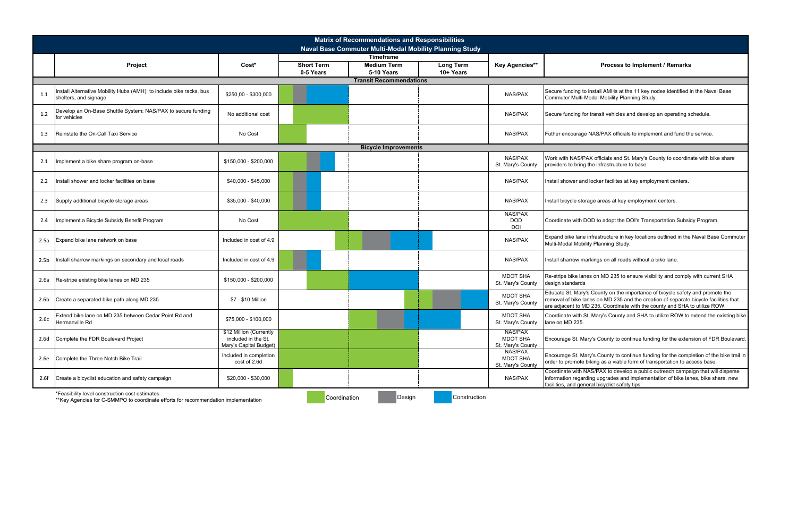|                  | <b>Matrix of Recommendations and Responsibilities</b>                                                                                 |                                                                          |                                |                                                            |              |                                                 |                                                                                                                                                                                                                                                     |  |  |  |  |  |
|------------------|---------------------------------------------------------------------------------------------------------------------------------------|--------------------------------------------------------------------------|--------------------------------|------------------------------------------------------------|--------------|-------------------------------------------------|-----------------------------------------------------------------------------------------------------------------------------------------------------------------------------------------------------------------------------------------------------|--|--|--|--|--|
|                  |                                                                                                                                       |                                                                          |                                | Naval Base Commuter Multi-Modal Mobility Planning Study    |              |                                                 |                                                                                                                                                                                                                                                     |  |  |  |  |  |
|                  |                                                                                                                                       |                                                                          |                                | <b>Timeframe</b>                                           |              |                                                 |                                                                                                                                                                                                                                                     |  |  |  |  |  |
|                  | Project                                                                                                                               | Cost*                                                                    | <b>Short Term</b><br>0-5 Years | <b>Medium Term</b><br>Long Term<br>5-10 Years<br>10+ Years |              | <b>Key Agencies**</b>                           | <b>Process to Implement / Remarks</b>                                                                                                                                                                                                               |  |  |  |  |  |
|                  |                                                                                                                                       |                                                                          |                                |                                                            |              |                                                 |                                                                                                                                                                                                                                                     |  |  |  |  |  |
| 1.1              | Install Alternative Mobility Hubs (AMH): to include bike racks, bus<br>shelters, and signage                                          | \$250,00 - \$300,000                                                     |                                |                                                            |              | NAS/PAX                                         | Secure funding to install AMHs at the 11 key nodes identified in the Naval Base<br>Commuter Multi-Modal Mobility Planning Study.                                                                                                                    |  |  |  |  |  |
| 1.2              | Develop an On-Base Shuttle System: NAS/PAX to secure funding<br>for vehicles                                                          | No additional cost                                                       |                                |                                                            |              | <b>NAS/PAX</b>                                  | Secure funding for transit vehicles and develop an operating schedule.                                                                                                                                                                              |  |  |  |  |  |
| 1.3              | Reinstate the On-Call Taxi Service                                                                                                    | No Cost                                                                  |                                |                                                            |              | <b>NAS/PAX</b>                                  | Futher encourage NAS/PAX officials to implement and fund the service.                                                                                                                                                                               |  |  |  |  |  |
|                  |                                                                                                                                       |                                                                          |                                | <b>Bicycle Improvements</b>                                |              |                                                 |                                                                                                                                                                                                                                                     |  |  |  |  |  |
| 2.1              | Implement a bike share program on-base                                                                                                | \$150,000 - \$200,000                                                    |                                |                                                            |              | <b>NAS/PAX</b><br>St. Mary's County             | Work with NAS/PAX officials and St. Mary's County to coordinate with bike share<br>providers to bring the infrastructure to base.                                                                                                                   |  |  |  |  |  |
| 2.2              | Install shower and locker facilities on base                                                                                          | \$40,000 - \$45,000                                                      |                                |                                                            |              | <b>NAS/PAX</b>                                  | Install shower and locker facilites at key employment centers.                                                                                                                                                                                      |  |  |  |  |  |
| 2.3              | Supply additional bicycle storage areas                                                                                               | \$35,000 - \$40,000                                                      |                                |                                                            |              | NAS/PAX                                         | Install bicycle storage areas at key employment centers.                                                                                                                                                                                            |  |  |  |  |  |
| 2.4              | Implement a Bicycle Subsidy Benefit Program                                                                                           | No Cost                                                                  |                                |                                                            |              | NAS/PAX<br><b>DOD</b><br>DOI                    | Coordinate with DOD to adopt the DOI's Transportation Subsidy Program.                                                                                                                                                                              |  |  |  |  |  |
| 2.5a             | Expand bike lane network on base                                                                                                      | Included in cost of 4.9                                                  |                                |                                                            |              | <b>NAS/PAX</b>                                  | Expand bike lane infrastructure in key locations outlined in the Naval Base Commuter<br>Multi-Modal Mobility Planning Study.                                                                                                                        |  |  |  |  |  |
| 2.5 <sub>b</sub> | Install sharrow markings on secondary and local roads                                                                                 | Included in cost of 4.9                                                  |                                |                                                            |              | <b>NAS/PAX</b>                                  | Install sharrow markings on all roads without a bike lane.                                                                                                                                                                                          |  |  |  |  |  |
| 2.6a             | Re-stripe existing bike lanes on MD 235                                                                                               | \$150,000 - \$200,000                                                    |                                |                                                            |              | <b>MDOT SHA</b><br>St. Mary's County            | Re-stripe bike lanes on MD 235 to ensure visibility and comply with current SHA<br>design standards                                                                                                                                                 |  |  |  |  |  |
| 2.6 <sub>b</sub> | Create a separated bike path along MD 235                                                                                             | \$7 - \$10 Million                                                       |                                |                                                            |              | <b>MDOT SHA</b><br>St. Mary's County            | Educate St. Mary's County on the importance of bicycle safety and promote the<br>removal of bike lanes on MD 235 and the creation of separate bicycle facilities that<br>are adjacent to MD 235. Coordinate with the county and SHA to utilize ROW. |  |  |  |  |  |
| 2.6c             | Extend bike lane on MD 235 between Cedar Point Rd and<br>Hermanville Rd                                                               | \$75,000 - \$100,000                                                     |                                |                                                            |              | <b>MDOT SHA</b><br>St. Mary's County            | Coordinate with St. Mary's County and SHA to utilize ROW to extend the existing bike<br>lane on MD 235.                                                                                                                                             |  |  |  |  |  |
| 2.6d             | Complete the FDR Boulevard Project                                                                                                    | \$12 Million (Currently<br>included in the St.<br>Mary's Capital Budget) |                                |                                                            |              | NAS/PAX<br><b>MDOT SHA</b><br>St. Mary's County | Encourage St. Mary's County to continue funding for the extension of FDR Boulevard.                                                                                                                                                                 |  |  |  |  |  |
| 2.6e             | Complete the Three Notch Bike Trail                                                                                                   | Included in completion<br>cost of 2.6d                                   |                                |                                                            |              | NAS/PAX<br><b>MDOT SHA</b><br>St. Mary's County | Encourage St. Mary's County to continue funding for the completion of the bike trail in<br>order to promote biking as a viable form of transportation to access base.                                                                               |  |  |  |  |  |
| 2.6f             | Create a bicyclist education and safety campaign                                                                                      | \$20,000 - \$30,000                                                      |                                |                                                            |              | NAS/PAX                                         | Coordinate with NAS/PAX to develop a public outreach campaign that will disperse<br>information regarding upgrades and implementation of bike lanes, bike share, new<br>facilities, and general bicyclist safety tips.                              |  |  |  |  |  |
|                  | *Feasibility level construction cost estimates<br>** Key Agencies for C-SMMPO to coordinate efforts for recommendation implementation |                                                                          | Coordination                   | Design                                                     | Construction |                                                 |                                                                                                                                                                                                                                                     |  |  |  |  |  |

#### **Process to Implement / Remarks**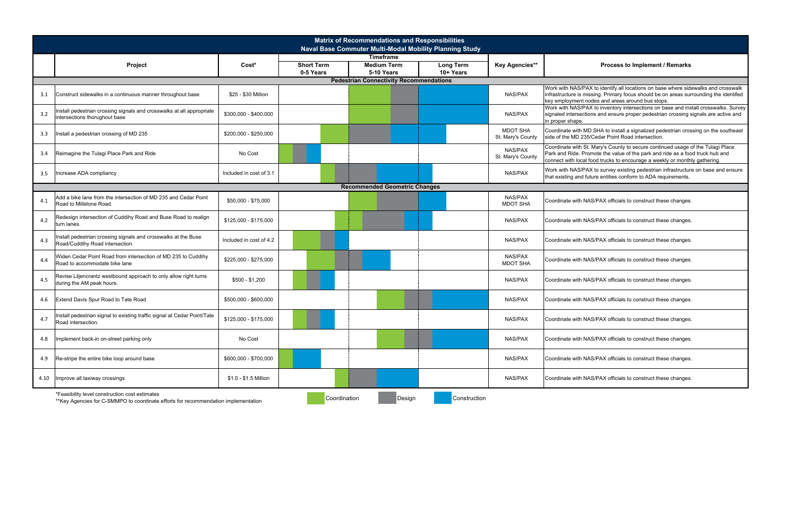|      |                                                                                                                                       |                         |                                                                                        | <b>Matrix of Recommendations and Responsibilities</b><br>Naval Base Commuter Multi-Modal Mobility Planning Study |                                |                                      |                                                                                                                                                                                                                                                |
|------|---------------------------------------------------------------------------------------------------------------------------------------|-------------------------|----------------------------------------------------------------------------------------|------------------------------------------------------------------------------------------------------------------|--------------------------------|--------------------------------------|------------------------------------------------------------------------------------------------------------------------------------------------------------------------------------------------------------------------------------------------|
|      | Project                                                                                                                               | Cost*                   | <b>Timeframe</b><br><b>Short Term</b><br><b>Medium Term</b><br>5-10 Years<br>0-5 Years |                                                                                                                  | <b>Long Term</b><br>$10+Years$ | <b>Key Agencies**</b>                | Process to Implement / Remarks                                                                                                                                                                                                                 |
|      |                                                                                                                                       |                         |                                                                                        |                                                                                                                  |                                |                                      |                                                                                                                                                                                                                                                |
| 3.1  | Construct sidewalks in a continuous manner throughout base                                                                            | \$25 - \$30 Million     |                                                                                        |                                                                                                                  |                                | NAS/PAX                              | Work with NAS/PAX to identify all locations on base where sidewalks and crosswalk<br>infrastructure is missing. Primary focus should be on areas surrounding the identifed<br>key employment nodes and areas around bus stops.                 |
| 3.2  | nstall pedestrian crossing signals and crosswalks at all appropriate<br>intersections thorughout base                                 | \$300,000 - \$400,000   |                                                                                        |                                                                                                                  |                                | <b>NAS/PAX</b>                       | Work with NAS/PAX to inventory intersections on base and install crosswalks. Survey<br>signaled intersections and ensure proper pedestrian crossing signals are active and<br>in proper shape.                                                 |
| 3.3  | Install a pedestrian crossing of MD 235                                                                                               | \$200,000 - \$250,000   |                                                                                        |                                                                                                                  |                                | <b>MDOT SHA</b><br>St. Mary's County | Coordinate with MD SHA to install a signalized pedestrian crossing on the southeast<br>side of the MD 235/Cedar Point Road intersection.                                                                                                       |
| 3.4  | Reimagine the Tulagi Place Park and Ride                                                                                              | No Cost                 |                                                                                        |                                                                                                                  |                                | NAS/PAX<br>St. Mary's County         | Coordinate with St. Mary's County to secure continued usage of the Tulagi Place<br>Park and Ride. Promote the value of the park and ride as a food truck hub and<br>connect with local food trucks to encourage a weekly or monthly gathering. |
| 3.5  | Increase ADA compliancy                                                                                                               | Included in cost of 3.1 |                                                                                        |                                                                                                                  |                                | NAS/PAX                              | Work with NAS/PAX to survey existing pedestrian infrastructure on base and ensure<br>that existing and future entities conform to ADA requirements.                                                                                            |
|      |                                                                                                                                       |                         |                                                                                        | <b>Recommended Geometric Changes</b>                                                                             |                                |                                      |                                                                                                                                                                                                                                                |
| 4.1  | Add a bike lane from the intersection of MD 235 and Cedar Point<br>Road to Millstone Road.                                            | \$50,000 - \$75,000     |                                                                                        |                                                                                                                  |                                | NAS/PAX<br><b>MDOT SHA</b>           | Coordinate with NAS/PAX officials to construct these changes.                                                                                                                                                                                  |
| 4.2  | Redesign intersection of Cuddihy Road and Buse Road to realign<br>turn lanes.                                                         | \$125,000 - \$175,000   |                                                                                        |                                                                                                                  |                                | <b>NAS/PAX</b>                       | Coordinate with NAS/PAX officials to construct these changes.                                                                                                                                                                                  |
| 4.3  | nstall pedestrian crossing signals and crosswalks at the Buse<br>Road/Cuddihy Road intersection.                                      | Included in cost of 4.2 |                                                                                        |                                                                                                                  |                                | <b>NAS/PAX</b>                       | Coordinate with NAS/PAX officials to construct these changes.                                                                                                                                                                                  |
| 4.4  | Widen Cedar Point Road from intersection of MD 235 to Cuddihy<br>Road to accommodate bike lane                                        | \$225,000 - \$275,000   |                                                                                        |                                                                                                                  |                                | NAS/PAX<br><b>MDOT SHA</b>           | Coordinate with NAS/PAX officials to construct these changes.                                                                                                                                                                                  |
| 4.5  | Revise Liljencrantz westbound approach to only allow right turns<br>during the AM peak hours.                                         | \$500 - \$1,200         |                                                                                        |                                                                                                                  |                                | <b>NAS/PAX</b>                       | Coordinate with NAS/PAX officials to construct these changes.                                                                                                                                                                                  |
| 4.6  | Extend Davis Spur Road to Tate Road                                                                                                   | \$500,000 - \$600,000   |                                                                                        |                                                                                                                  |                                | <b>NAS/PAX</b>                       | Coordinate with NAS/PAX officials to construct these changes.                                                                                                                                                                                  |
| 4.7  | Install pedestrian signal to existing traffic signal at Cedar Point/Tate<br>Road intersection.                                        | \$125,000 - \$175,000   |                                                                                        |                                                                                                                  |                                | <b>NAS/PAX</b>                       | Coordinate with NAS/PAX officials to construct these changes.                                                                                                                                                                                  |
| 4.8  | Implement back-in on-street parking only                                                                                              | No Cost                 |                                                                                        |                                                                                                                  |                                | NAS/PAX                              | Coordinate with NAS/PAX officials to construct these changes.                                                                                                                                                                                  |
| 4.9  | Re-stripe the entire bike loop around base                                                                                            | \$600,000 - \$700,000   |                                                                                        |                                                                                                                  |                                | <b>NAS/PAX</b>                       | Coordinate with NAS/PAX officials to construct these changes.                                                                                                                                                                                  |
| 4.10 | Improve all taxiway crossings                                                                                                         | \$1.0 - \$1.5 Million   |                                                                                        |                                                                                                                  |                                | NAS/PAX                              | Coordinate with NAS/PAX officials to construct these changes.                                                                                                                                                                                  |
|      | *Feasibility level construction cost estimates<br>** Key Agencies for C-SMMPO to coordinate efforts for recommendation implementation |                         | Coordination                                                                           | Design                                                                                                           | Construction                   |                                      |                                                                                                                                                                                                                                                |

#### **Process to Implement / Remarks**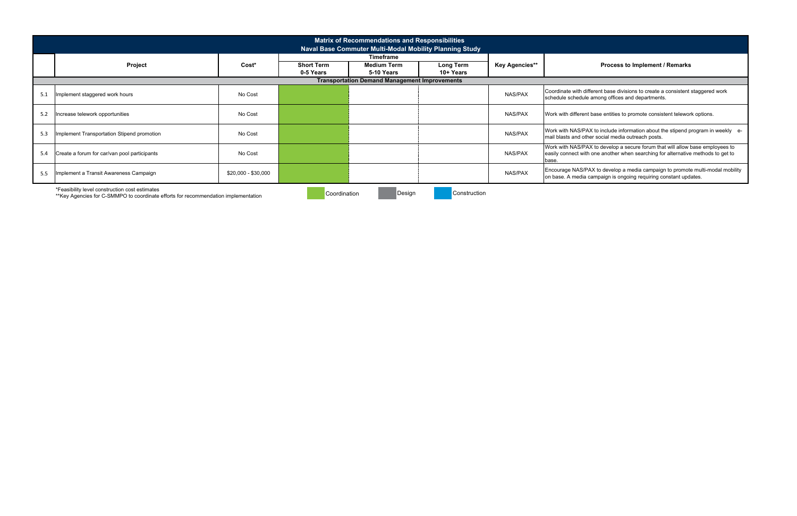|                                                      |                                                                                                                                      |                     |                   | <b>Matrix of Recommendations and Responsibilities</b>   |                  |                |                                                 |  |  |  |  |
|------------------------------------------------------|--------------------------------------------------------------------------------------------------------------------------------------|---------------------|-------------------|---------------------------------------------------------|------------------|----------------|-------------------------------------------------|--|--|--|--|
|                                                      |                                                                                                                                      |                     |                   | Naval Base Commuter Multi-Modal Mobility Planning Study |                  |                |                                                 |  |  |  |  |
|                                                      |                                                                                                                                      |                     |                   | <b>Timeframe</b>                                        |                  |                |                                                 |  |  |  |  |
|                                                      | Project                                                                                                                              | Cost*               | <b>Short Term</b> | <b>Medium Term</b>                                      | <b>Long Term</b> | Key Agencies** |                                                 |  |  |  |  |
|                                                      |                                                                                                                                      |                     | 0-5 Years         | 5-10 Years                                              | 10+ Years        |                |                                                 |  |  |  |  |
| <b>Transportation Demand Management Improvements</b> |                                                                                                                                      |                     |                   |                                                         |                  |                |                                                 |  |  |  |  |
| 5.1                                                  | Implement staggered work hours                                                                                                       | No Cost             |                   |                                                         |                  | NAS/PAX        | Coordinate with di<br>schedule schedul          |  |  |  |  |
| 5.2                                                  | Increase telework opportunities                                                                                                      | No Cost             |                   |                                                         |                  | NAS/PAX        | Work with differen                              |  |  |  |  |
| 5.3                                                  | Implement Transportation Stipend promotion                                                                                           | No Cost             |                   |                                                         |                  | NAS/PAX        | Work with NAS/P/<br>mail blasts and ot          |  |  |  |  |
| 5.4                                                  | Create a forum for car/van pool participants                                                                                         | No Cost             |                   |                                                         |                  | NAS/PAX        | Work with NAS/P/<br>easily connect wit<br>base. |  |  |  |  |
| 5.5                                                  | Implement a Transit Awareness Campaign                                                                                               | $$20,000 - $30,000$ |                   |                                                         |                  | NAS/PAX        | Encourage NAS/F<br>on base. A media             |  |  |  |  |
|                                                      | *Feasibility level construction cost estimates<br>**Key Agencies for C-SMMPO to coordinate efforts for recommendation implementation |                     | Coordination      | Design                                                  | Construction     |                |                                                 |  |  |  |  |

\*\*Key Agencies for C-SMMPO to coordinate efforts for recommendation implementation

#### **Process to Implement / Remarks**

lifferent base divisions to create a consistent staggered work<br>le among offices and departments.

nt base entities to promote consistent telework options.

IAX to include information about the stipend program in weekly e-<br>ther social media outreach posts.

AX to develop a secure forum that will allow base employees to th one another when searching for alternative methods to get to

PAX to develop a media campaign to promote multi-modal mobility<br>ι campaign is ongoing requiring constant updates.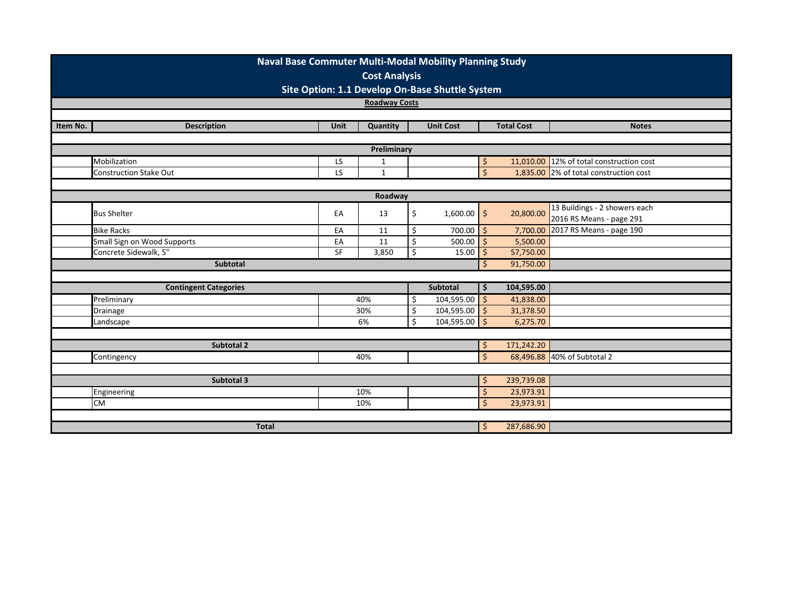|             | Naval Base Commuter Multi-Modal Mobility Planning Study<br><b>Cost Analysis</b><br>Site Option: 1.1 Develop On-Base Shuttle System |             |              |            |                  |                    |                   |                                          |  |  |  |  |
|-------------|------------------------------------------------------------------------------------------------------------------------------------|-------------|--------------|------------|------------------|--------------------|-------------------|------------------------------------------|--|--|--|--|
|             | <b>Roadway Costs</b>                                                                                                               |             |              |            |                  |                    |                   |                                          |  |  |  |  |
|             |                                                                                                                                    |             |              |            |                  |                    |                   |                                          |  |  |  |  |
| Item No.    | <b>Description</b>                                                                                                                 | <b>Unit</b> | Quantity     |            | <b>Unit Cost</b> |                    | <b>Total Cost</b> | <b>Notes</b>                             |  |  |  |  |
|             |                                                                                                                                    |             |              |            |                  |                    |                   |                                          |  |  |  |  |
| Preliminary |                                                                                                                                    |             |              |            |                  |                    |                   |                                          |  |  |  |  |
|             | Mobilization                                                                                                                       | LS          | $\mathbf{1}$ |            |                  | $\zeta$            |                   | 11,010.00 12% of total construction cost |  |  |  |  |
|             | <b>Construction Stake Out</b>                                                                                                      | LS          | $\mathbf{1}$ |            |                  | $\overline{\xi}$   |                   | 1,835.00 2% of total construction cost   |  |  |  |  |
|             |                                                                                                                                    |             |              |            |                  |                    |                   |                                          |  |  |  |  |
| Roadway     |                                                                                                                                    |             |              |            |                  |                    |                   |                                          |  |  |  |  |
|             | <b>Bus Shelter</b>                                                                                                                 | EA          | 13           | \$         | $1,600.00$ \$    |                    | 20,800.00         | 13 Buildings - 2 showers each            |  |  |  |  |
|             |                                                                                                                                    |             |              |            |                  |                    |                   | 2016 RS Means - page 291                 |  |  |  |  |
|             | <b>Bike Racks</b>                                                                                                                  | EA          | 11           | \$         | $700.00$ \$      |                    | 7,700.00          | 2017 RS Means - page 190                 |  |  |  |  |
|             | Small Sign on Wood Supports                                                                                                        | EA          | 11           | \$         | 500.00           | -Ś                 | 5,500.00          |                                          |  |  |  |  |
|             | Concrete Sidewalk, 5"                                                                                                              | SF          | 3,850        | Ś.         | 15.00            | -\$                | 57,750.00         |                                          |  |  |  |  |
|             | <b>Subtotal</b>                                                                                                                    |             |              |            |                  | $\zeta$            | 91,750.00         |                                          |  |  |  |  |
|             |                                                                                                                                    |             |              |            |                  |                    |                   |                                          |  |  |  |  |
|             | <b>Contingent Categories</b>                                                                                                       |             |              |            | <b>Subtotal</b>  | \$                 | 104,595.00        |                                          |  |  |  |  |
|             | Preliminary                                                                                                                        |             | 40%          | \$         | $104,595.00$ \$  |                    | 41,838.00         |                                          |  |  |  |  |
|             | Drainage                                                                                                                           |             | 30%          | \$         | 104,595.00       | $\vert$ \$         | 31,378.50         |                                          |  |  |  |  |
|             | Landscape                                                                                                                          |             | 6%           | Ś          | $104,595.00$ \$  |                    | 6,275.70          |                                          |  |  |  |  |
|             |                                                                                                                                    |             |              |            |                  |                    |                   |                                          |  |  |  |  |
|             | Subtotal 2                                                                                                                         |             |              |            |                  | \$                 | 171,242.20        |                                          |  |  |  |  |
|             | Contingency                                                                                                                        |             | 40%          |            |                  | $\mathsf{\dot{S}}$ |                   | 68,496.88 40% of Subtotal 2              |  |  |  |  |
|             |                                                                                                                                    |             |              |            |                  |                    |                   |                                          |  |  |  |  |
|             | Subtotal 3                                                                                                                         |             | -\$          | 239,739.08 |                  |                    |                   |                                          |  |  |  |  |
|             | Engineering                                                                                                                        |             | 10%          |            |                  | \$                 | 23,973.91         |                                          |  |  |  |  |
|             | <b>CM</b>                                                                                                                          |             | 10%          |            |                  | $\dot{\mathsf{S}}$ | 23,973.91         |                                          |  |  |  |  |
|             |                                                                                                                                    |             |              |            |                  |                    |                   |                                          |  |  |  |  |
|             | <b>Total</b>                                                                                                                       |             |              |            |                  | \$                 | 287,686.90        |                                          |  |  |  |  |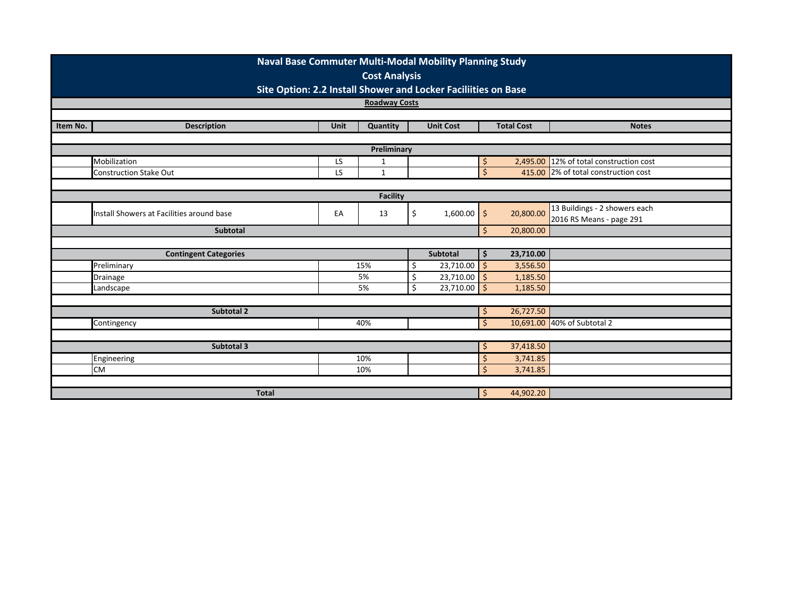|                                                                                                                    | <b>Naval Base Commuter Multi-Modal Mobility Planning Study</b> |          |                          |                      |                                         |                    |           |                                      |  |  |  |  |
|--------------------------------------------------------------------------------------------------------------------|----------------------------------------------------------------|----------|--------------------------|----------------------|-----------------------------------------|--------------------|-----------|--------------------------------------|--|--|--|--|
|                                                                                                                    | <b>Cost Analysis</b>                                           |          |                          |                      |                                         |                    |           |                                      |  |  |  |  |
|                                                                                                                    | Site Option: 2.2 Install Shower and Locker Faciliities on Base |          |                          |                      |                                         |                    |           |                                      |  |  |  |  |
|                                                                                                                    | <b>Roadway Costs</b>                                           |          |                          |                      |                                         |                    |           |                                      |  |  |  |  |
|                                                                                                                    |                                                                |          |                          |                      |                                         |                    |           |                                      |  |  |  |  |
| Item No.<br><b>Description</b><br><b>Unit</b><br><b>Total Cost</b><br>Quantity<br><b>Unit Cost</b><br><b>Notes</b> |                                                                |          |                          |                      |                                         |                    |           |                                      |  |  |  |  |
| Preliminary                                                                                                        |                                                                |          |                          |                      |                                         |                    |           |                                      |  |  |  |  |
|                                                                                                                    | Mobilization                                                   |          | Ŝ                        |                      | 2,495.00 12% of total construction cost |                    |           |                                      |  |  |  |  |
|                                                                                                                    | <b>Construction Stake Out</b>                                  | LS<br>LS | 1<br>$\mathbf 1$         |                      |                                         | $\mathsf{\hat{S}}$ |           | 415.00 2% of total construction cost |  |  |  |  |
|                                                                                                                    |                                                                |          |                          |                      |                                         |                    |           |                                      |  |  |  |  |
|                                                                                                                    | <b>Facility</b>                                                |          |                          |                      |                                         |                    |           |                                      |  |  |  |  |
|                                                                                                                    | Install Showers at Facilities around base                      | 1,600.00 | $\zeta$                  | 20,800.00            | 13 Buildings - 2 showers each           |                    |           |                                      |  |  |  |  |
|                                                                                                                    |                                                                | EA       | 13                       | \$                   |                                         |                    |           | 2016 RS Means - page 291             |  |  |  |  |
|                                                                                                                    | Subtotal<br>20,800.00<br>\$                                    |          |                          |                      |                                         |                    |           |                                      |  |  |  |  |
|                                                                                                                    | <b>Contingent Categories</b>                                   |          |                          |                      | Subtotal                                | \$                 | 23,710.00 |                                      |  |  |  |  |
|                                                                                                                    | Preliminary                                                    |          | 15%                      | \$                   | 23,710.00                               | $\mathsf{S}$       | 3,556.50  |                                      |  |  |  |  |
|                                                                                                                    | Drainage                                                       |          | 5%                       | \$                   | 23,710.00                               | $\zeta$            | 1,185.50  |                                      |  |  |  |  |
|                                                                                                                    | Landscape                                                      |          | 5%                       | Ś.                   | $23,710.00$ \$                          |                    | 1,185.50  |                                      |  |  |  |  |
|                                                                                                                    |                                                                |          |                          |                      |                                         |                    |           |                                      |  |  |  |  |
|                                                                                                                    | Subtotal 2                                                     |          |                          |                      |                                         | \$                 | 26,727.50 |                                      |  |  |  |  |
|                                                                                                                    | Contingency                                                    |          | 40%                      |                      |                                         | Ś.                 |           | 10,691.00 40% of Subtotal 2          |  |  |  |  |
|                                                                                                                    |                                                                |          |                          |                      |                                         |                    |           |                                      |  |  |  |  |
|                                                                                                                    | Subtotal 3                                                     |          | 10%                      |                      |                                         | \$                 | 37,418.50 |                                      |  |  |  |  |
|                                                                                                                    | Engineering<br><b>CM</b>                                       |          | \$<br>$\mathsf{\hat{S}}$ | 3,741.85<br>3,741.85 |                                         |                    |           |                                      |  |  |  |  |
|                                                                                                                    |                                                                |          | 10%                      |                      |                                         |                    |           |                                      |  |  |  |  |
|                                                                                                                    | <b>Total</b>                                                   |          |                          |                      |                                         | \$                 | 44,902.20 |                                      |  |  |  |  |
|                                                                                                                    |                                                                |          |                          |                      |                                         |                    |           |                                      |  |  |  |  |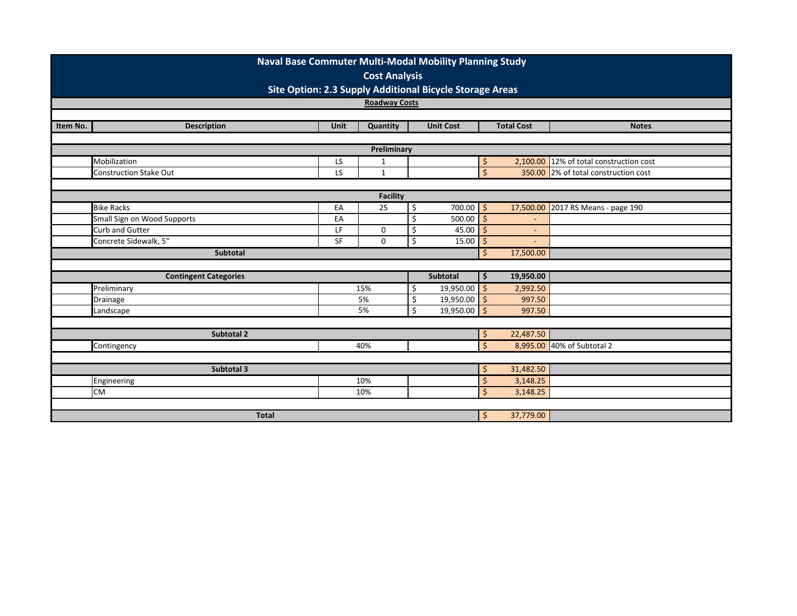|          | <b>Naval Base Commuter Multi-Modal Mobility Planning Study</b>                              |             |             |           |                  |                    |                   |                               |  |  |  |  |  |
|----------|---------------------------------------------------------------------------------------------|-------------|-------------|-----------|------------------|--------------------|-------------------|-------------------------------|--|--|--|--|--|
|          | <b>Cost Analysis</b>                                                                        |             |             |           |                  |                    |                   |                               |  |  |  |  |  |
|          | Site Option: 2.3 Supply Additional Bicycle Storage Areas                                    |             |             |           |                  |                    |                   |                               |  |  |  |  |  |
|          | <b>Roadway Costs</b>                                                                        |             |             |           |                  |                    |                   |                               |  |  |  |  |  |
|          |                                                                                             |             |             |           |                  |                    |                   |                               |  |  |  |  |  |
| Item No. | <b>Description</b>                                                                          | <b>Unit</b> | Quantity    |           | <b>Unit Cost</b> |                    | <b>Total Cost</b> | <b>Notes</b>                  |  |  |  |  |  |
|          |                                                                                             |             |             |           |                  |                    |                   |                               |  |  |  |  |  |
|          | Preliminary<br>Mobilization<br>2,100.00 12% of total construction cost<br>LS<br>$\mathbf 1$ |             |             |           |                  |                    |                   |                               |  |  |  |  |  |
|          |                                                                                             |             |             |           |                  | \$                 |                   |                               |  |  |  |  |  |
|          | <b>Construction Stake Out</b>                                                               | LS          | $\mathbf 1$ |           |                  | $\zeta$            | 350.00            | 2% of total construction cost |  |  |  |  |  |
|          | <b>Facility</b>                                                                             |             |             |           |                  |                    |                   |                               |  |  |  |  |  |
|          | <b>Bike Racks</b>                                                                           | EA          | 25          | \$        | $700.00$   \$    |                    | 17,500.00         | 2017 RS Means - page 190      |  |  |  |  |  |
|          | Small Sign on Wood Supports                                                                 | EA          |             | Ś.        | $500.00$ \$      |                    |                   |                               |  |  |  |  |  |
|          | Curb and Gutter                                                                             | LF          | 0           | \$        | 45.00            | $\mathsf{S}$       | $\blacksquare$    |                               |  |  |  |  |  |
|          | Concrete Sidewalk, 5"                                                                       | <b>SF</b>   | 0           | \$        | 15.00            | $\zeta$            |                   |                               |  |  |  |  |  |
|          | <b>Subtotal</b>                                                                             |             |             |           |                  | Ŝ.                 | 17,500.00         |                               |  |  |  |  |  |
|          |                                                                                             |             |             |           |                  |                    |                   |                               |  |  |  |  |  |
|          | <b>Contingent Categories</b>                                                                |             |             |           | <b>Subtotal</b>  | \$                 | 19,950.00         |                               |  |  |  |  |  |
|          | Preliminary                                                                                 |             | 15%         | Ś.        | $19,950.00$ \$   |                    | 2,992.50          |                               |  |  |  |  |  |
|          | Drainage                                                                                    |             | 5%          | \$        | $19,950.00$ \$   |                    | 997.50            |                               |  |  |  |  |  |
|          | Landscape                                                                                   |             | 5%          | Ś.        | $19,950.00$ \$   |                    | 997.50            |                               |  |  |  |  |  |
|          |                                                                                             |             |             |           |                  |                    |                   |                               |  |  |  |  |  |
|          | Subtotal 2                                                                                  |             |             |           |                  | \$                 | 22,487.50         |                               |  |  |  |  |  |
|          | Contingency                                                                                 |             | 40%         |           |                  | $\zeta$            |                   | 8,995.00 40% of Subtotal 2    |  |  |  |  |  |
|          |                                                                                             |             |             |           |                  |                    |                   |                               |  |  |  |  |  |
|          | Subtotal 3                                                                                  |             | \$          | 31,482.50 |                  |                    |                   |                               |  |  |  |  |  |
|          | 10%<br>Engineering                                                                          |             |             |           |                  |                    | 3,148.25          |                               |  |  |  |  |  |
|          | <b>CM</b>                                                                                   |             | 10%         |           |                  | $\dot{\mathsf{S}}$ | 3,148.25          |                               |  |  |  |  |  |
|          |                                                                                             |             |             |           |                  |                    |                   |                               |  |  |  |  |  |
|          | <b>Total</b>                                                                                |             |             |           |                  | \$                 | 37,779.00         |                               |  |  |  |  |  |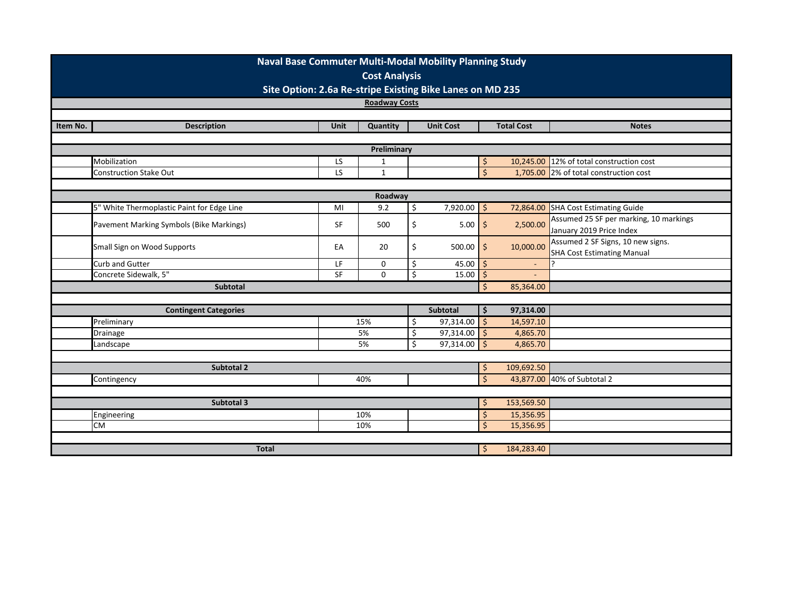|          | <b>Naval Base Commuter Multi-Modal Mobility Planning Study</b><br><b>Cost Analysis</b> |             |             |                         |                  |                    |                   |                                                                        |  |  |  |  |
|----------|----------------------------------------------------------------------------------------|-------------|-------------|-------------------------|------------------|--------------------|-------------------|------------------------------------------------------------------------|--|--|--|--|
|          | Site Option: 2.6a Re-stripe Existing Bike Lanes on MD 235<br><b>Roadway Costs</b>      |             |             |                         |                  |                    |                   |                                                                        |  |  |  |  |
|          |                                                                                        |             |             |                         |                  |                    |                   |                                                                        |  |  |  |  |
| Item No. | <b>Description</b>                                                                     | <b>Unit</b> | Quantity    |                         | <b>Unit Cost</b> |                    | <b>Total Cost</b> | <b>Notes</b>                                                           |  |  |  |  |
|          |                                                                                        |             |             |                         |                  |                    |                   |                                                                        |  |  |  |  |
|          | Preliminary                                                                            |             |             |                         |                  |                    |                   |                                                                        |  |  |  |  |
|          | Mobilization                                                                           | LS          | 1           |                         |                  | \$                 | 10,245.00         | 12% of total construction cost                                         |  |  |  |  |
|          | <b>Construction Stake Out</b>                                                          | LS          | $\mathbf 1$ |                         |                  | $\frac{1}{2}$      | 1,705.00          | 2% of total construction cost                                          |  |  |  |  |
|          |                                                                                        |             |             |                         |                  |                    |                   |                                                                        |  |  |  |  |
|          | Roadway                                                                                |             |             |                         |                  |                    |                   |                                                                        |  |  |  |  |
|          | 5" White Thermoplastic Paint for Edge Line                                             | MI          | 9.2         | $\overline{\mathsf{S}}$ | $7,920.00$ \$    |                    | 72,864.00         | <b>SHA Cost Estimating Guide</b>                                       |  |  |  |  |
|          | Pavement Marking Symbols (Bike Markings)                                               | <b>SF</b>   | 500         | \$                      | $5.00$ \$        |                    | 2,500.00          | Assumed 25 SF per marking, 10 markings                                 |  |  |  |  |
|          |                                                                                        |             |             |                         |                  |                    |                   | January 2019 Price Index                                               |  |  |  |  |
|          | Small Sign on Wood Supports                                                            | EA          | 20          | \$                      | $500.00$ \$      |                    | 10,000.00         | Assumed 2 SF Signs, 10 new signs.<br><b>SHA Cost Estimating Manual</b> |  |  |  |  |
|          | Curb and Gutter                                                                        | LF          | 0           | \$                      | 45.00            | '\$                | $\blacksquare$    |                                                                        |  |  |  |  |
|          | Concrete Sidewalk, 5"                                                                  | SF          | 0           | \$                      | 15.00            | \$                 |                   |                                                                        |  |  |  |  |
|          | Subtotal                                                                               |             |             |                         |                  | \$                 | 85,364.00         |                                                                        |  |  |  |  |
|          |                                                                                        |             |             |                         |                  |                    |                   |                                                                        |  |  |  |  |
|          | <b>Contingent Categories</b>                                                           |             |             |                         | Subtotal         | \$                 | 97,314.00         |                                                                        |  |  |  |  |
|          | Preliminary                                                                            |             | 15%         | Ś.                      | $97,314.00$ \$   |                    | 14,597.10         |                                                                        |  |  |  |  |
|          | Drainage                                                                               |             | 5%          | \$                      | $97,314.00$ \$   |                    | 4,865.70          |                                                                        |  |  |  |  |
|          | Landscape                                                                              |             | 5%          | $\overline{\mathsf{S}}$ | $97,314.00$ \$   |                    | 4,865.70          |                                                                        |  |  |  |  |
|          |                                                                                        |             |             |                         |                  |                    |                   |                                                                        |  |  |  |  |
|          | <b>Subtotal 2</b>                                                                      |             |             |                         |                  | \$                 | 109,692.50        |                                                                        |  |  |  |  |
|          | Contingency                                                                            |             | 40%         |                         |                  | $\mathsf{S}$       |                   | 43,877.00 40% of Subtotal 2                                            |  |  |  |  |
|          |                                                                                        |             |             |                         |                  |                    |                   |                                                                        |  |  |  |  |
|          | Subtotal 3                                                                             |             |             | \$                      | 153,569.50       |                    |                   |                                                                        |  |  |  |  |
|          | Engineering                                                                            | 10%         |             |                         | \$               | 15,356.95          |                   |                                                                        |  |  |  |  |
|          | <b>CM</b>                                                                              |             | 10%         |                         |                  | $\mathsf{\dot{S}}$ | 15,356.95         |                                                                        |  |  |  |  |
|          | <b>Total</b>                                                                           |             |             |                         |                  |                    | 184,283.40        |                                                                        |  |  |  |  |
|          |                                                                                        |             |             |                         |                  | \$                 |                   |                                                                        |  |  |  |  |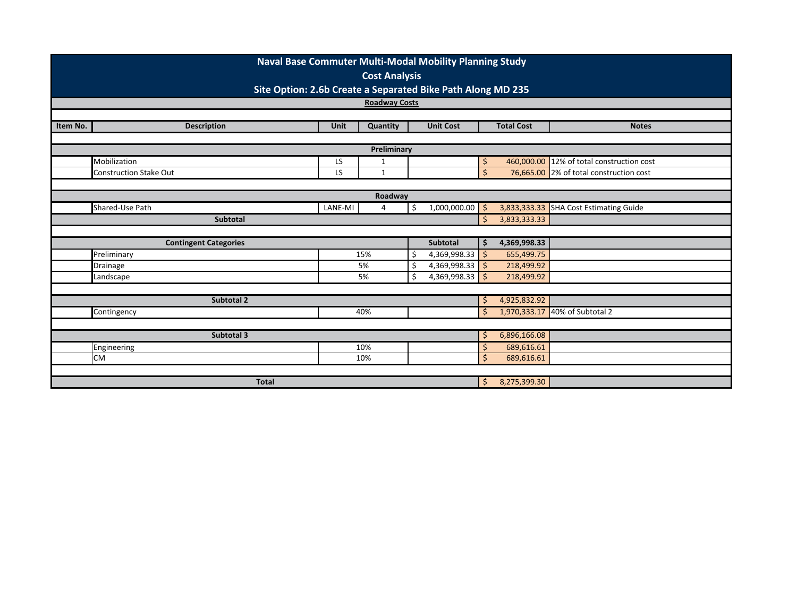|             | Naval Base Commuter Multi-Modal Mobility Planning Study     |              |                      |              |                                        |              |                   |                                           |  |  |  |
|-------------|-------------------------------------------------------------|--------------|----------------------|--------------|----------------------------------------|--------------|-------------------|-------------------------------------------|--|--|--|
|             | <b>Cost Analysis</b>                                        |              |                      |              |                                        |              |                   |                                           |  |  |  |
|             | Site Option: 2.6b Create a Separated Bike Path Along MD 235 |              |                      |              |                                        |              |                   |                                           |  |  |  |
|             |                                                             |              | <b>Roadway Costs</b> |              |                                        |              |                   |                                           |  |  |  |
|             |                                                             |              |                      |              |                                        |              |                   |                                           |  |  |  |
| Item No.    | <b>Description</b>                                          | Unit         | Quantity             |              | <b>Unit Cost</b>                       |              | <b>Total Cost</b> | <b>Notes</b>                              |  |  |  |
| Preliminary |                                                             |              |                      |              |                                        |              |                   |                                           |  |  |  |
|             | Mobilization                                                | LS           | $\mathbf 1$          |              |                                        | \$           |                   | 460,000.00 12% of total construction cost |  |  |  |
|             | <b>Construction Stake Out</b>                               | LS           | $\mathbf{1}$         |              |                                        | $\mathsf{S}$ |                   | 76,665.00 2% of total construction cost   |  |  |  |
|             |                                                             |              |                      |              |                                        |              |                   |                                           |  |  |  |
|             | Roadway                                                     |              |                      |              |                                        |              |                   |                                           |  |  |  |
|             | Shared-Use Path                                             | 1,000,000.00 |                      |              | 3,833,333.33 SHA Cost Estimating Guide |              |                   |                                           |  |  |  |
|             | Subtotal                                                    |              | '\$                  | 3,833,333.33 |                                        |              |                   |                                           |  |  |  |
|             |                                                             |              |                      |              |                                        |              |                   |                                           |  |  |  |
|             | <b>Contingent Categories</b>                                |              |                      |              | <b>Subtotal</b>                        | .\$          | 4,369,998.33      |                                           |  |  |  |
|             | Preliminary                                                 |              | 15%                  |              | 4,369,998.33 \$                        |              | 655,499.75        |                                           |  |  |  |
|             | Drainage                                                    |              | 5%                   |              | 4,369,998.33 \$                        |              | 218,499.92        |                                           |  |  |  |
|             | Landscape                                                   |              | 5%                   |              | $4,369,998.33$ \$                      |              | 218,499.92        |                                           |  |  |  |
|             |                                                             |              |                      |              |                                        |              |                   |                                           |  |  |  |
|             | Subtotal 2                                                  |              |                      |              |                                        | \$           | 4,925,832.92      |                                           |  |  |  |
|             | Contingency                                                 |              | 40%                  |              |                                        | <sup>5</sup> | 1,970,333.17      | 40% of Subtotal 2                         |  |  |  |
|             | 6,896,166.08                                                |              |                      |              |                                        |              |                   |                                           |  |  |  |
|             |                                                             |              |                      |              |                                        |              |                   |                                           |  |  |  |
|             | Engineering<br>10%                                          |              |                      |              |                                        |              | 689,616.61        |                                           |  |  |  |
|             | <b>CM</b>                                                   |              | 10%                  |              |                                        | Ś            | 689,616.61        |                                           |  |  |  |
|             |                                                             |              |                      |              |                                        |              |                   |                                           |  |  |  |
|             | <b>Total</b>                                                |              |                      |              |                                        | \$           | 8,275,399.30      |                                           |  |  |  |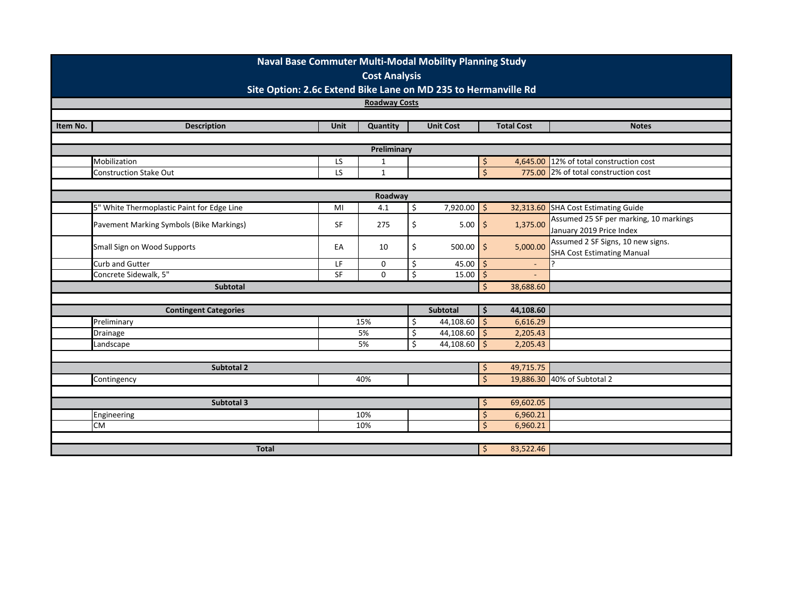|          | Naval Base Commuter Multi-Modal Mobility Planning Study<br><b>Cost Analysis</b> |             |                      |                  |                           |                           |                          |                                        |  |  |  |  |
|----------|---------------------------------------------------------------------------------|-------------|----------------------|------------------|---------------------------|---------------------------|--------------------------|----------------------------------------|--|--|--|--|
|          | Site Option: 2.6c Extend Bike Lane on MD 235 to Hermanville Rd                  |             |                      |                  |                           |                           |                          |                                        |  |  |  |  |
|          |                                                                                 |             | <b>Roadway Costs</b> |                  |                           |                           |                          |                                        |  |  |  |  |
|          |                                                                                 |             |                      |                  |                           |                           |                          |                                        |  |  |  |  |
| Item No. | <b>Description</b>                                                              | <b>Unit</b> | Quantity             |                  | <b>Unit Cost</b>          |                           | <b>Total Cost</b>        | <b>Notes</b>                           |  |  |  |  |
|          | Preliminary                                                                     |             |                      |                  |                           |                           |                          |                                        |  |  |  |  |
|          |                                                                                 |             |                      |                  |                           |                           |                          |                                        |  |  |  |  |
|          | Mobilization<br><b>Construction Stake Out</b>                                   | LS<br>LS    | 1<br>$\mathbf{1}$    |                  |                           | \$,<br>$\mathsf{\dot{S}}$ | 4,645.00<br>775.00       | 12% of total construction cost         |  |  |  |  |
|          |                                                                                 |             |                      |                  |                           |                           |                          | 2% of total construction cost          |  |  |  |  |
|          | Roadway                                                                         |             |                      |                  |                           |                           |                          |                                        |  |  |  |  |
|          | 5" White Thermoplastic Paint for Edge Line                                      | MI          | 4.1                  | \$               | $7,920.00$ \$             |                           | 32,313.60                | <b>SHA Cost Estimating Guide</b>       |  |  |  |  |
|          |                                                                                 |             |                      |                  |                           |                           |                          | Assumed 25 SF per marking, 10 markings |  |  |  |  |
|          | Pavement Marking Symbols (Bike Markings)                                        | SF          | 275                  | \$               | $5.00$ \$                 |                           | 1,375.00                 | January 2019 Price Index               |  |  |  |  |
|          |                                                                                 | EA          | 10                   |                  |                           |                           |                          | Assumed 2 SF Signs, 10 new signs.      |  |  |  |  |
|          | Small Sign on Wood Supports                                                     |             |                      | \$               | 500.00                    | $\frac{1}{2}$             | 5,000.00                 | <b>SHA Cost Estimating Manual</b>      |  |  |  |  |
|          | Curb and Gutter                                                                 | LF          | 0                    | \$               | 45.00                     | \$                        | $\overline{\phantom{a}}$ |                                        |  |  |  |  |
|          | Concrete Sidewalk, 5"                                                           | SF          | 0                    | $\overline{\xi}$ | 15.00                     | \$                        |                          |                                        |  |  |  |  |
|          | <b>Subtotal</b>                                                                 |             |                      |                  |                           | Ŝ.                        | 38,688.60                |                                        |  |  |  |  |
|          |                                                                                 |             |                      |                  |                           |                           |                          |                                        |  |  |  |  |
|          | <b>Contingent Categories</b>                                                    |             |                      |                  | Subtotal                  | \$.                       | 44,108.60                |                                        |  |  |  |  |
|          | Preliminary                                                                     |             | 15%                  | Ś.               | 44,108.60                 | $\mathsf{S}$              | 6,616.29                 |                                        |  |  |  |  |
|          | <b>Drainage</b>                                                                 |             | 5%<br>5%             | \$<br>\$         | 44,108.60 \$<br>44,108.60 | $\ddot{\mathsf{S}}$       | 2,205.43                 |                                        |  |  |  |  |
|          | Landscape                                                                       |             |                      |                  |                           |                           | 2,205.43                 |                                        |  |  |  |  |
|          | Subtotal 2                                                                      |             |                      |                  |                           | \$                        | 49,715.75                |                                        |  |  |  |  |
|          | Contingency                                                                     |             | 40%                  |                  |                           | Ś.                        |                          | 19,886.30 40% of Subtotal 2            |  |  |  |  |
|          |                                                                                 |             |                      |                  |                           |                           |                          |                                        |  |  |  |  |
|          | Subtotal 3                                                                      |             | \$                   | 69,602.05        |                           |                           |                          |                                        |  |  |  |  |
|          | Engineering                                                                     |             | 10%                  |                  |                           | $\zeta$                   | 6,960.21                 |                                        |  |  |  |  |
|          | <b>CM</b>                                                                       |             | 10%                  |                  |                           | Ś                         | 6,960.21                 |                                        |  |  |  |  |
|          |                                                                                 |             |                      |                  |                           |                           |                          |                                        |  |  |  |  |
|          | <b>Total</b>                                                                    |             |                      |                  |                           | \$                        | 83,522.46                |                                        |  |  |  |  |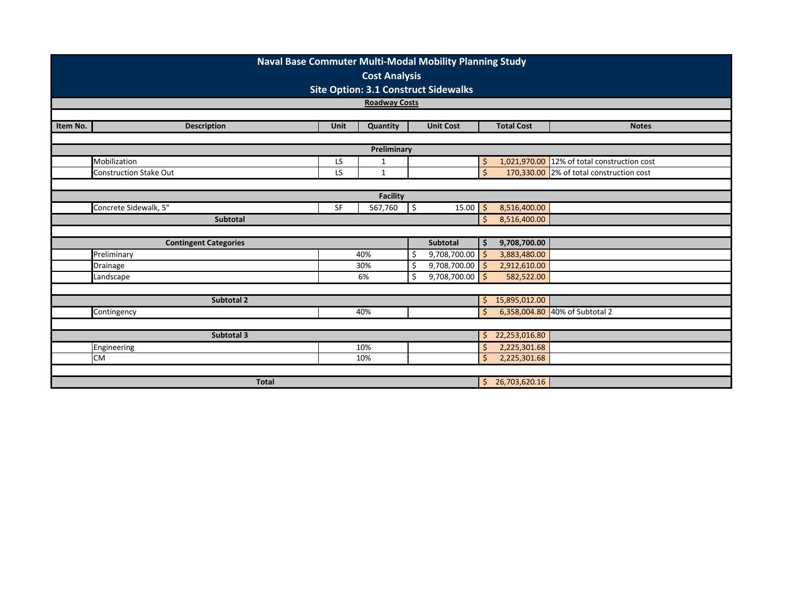|                                               | Naval Base Commuter Multi-Modal Mobility Planning Study                                |             |                      |              |                   |              |                   |                                          |  |  |  |  |  |
|-----------------------------------------------|----------------------------------------------------------------------------------------|-------------|----------------------|--------------|-------------------|--------------|-------------------|------------------------------------------|--|--|--|--|--|
|                                               | <b>Cost Analysis</b>                                                                   |             |                      |              |                   |              |                   |                                          |  |  |  |  |  |
|                                               | <b>Site Option: 3.1 Construct Sidewalks</b>                                            |             |                      |              |                   |              |                   |                                          |  |  |  |  |  |
|                                               |                                                                                        |             | <b>Roadway Costs</b> |              |                   |              |                   |                                          |  |  |  |  |  |
|                                               |                                                                                        |             |                      |              |                   |              |                   |                                          |  |  |  |  |  |
| Item No.                                      | <b>Description</b>                                                                     | <b>Unit</b> | Quantity             |              | <b>Unit Cost</b>  |              | <b>Total Cost</b> | <b>Notes</b>                             |  |  |  |  |  |
|                                               |                                                                                        |             |                      |              |                   |              |                   |                                          |  |  |  |  |  |
|                                               | Preliminary<br>1,021,970.00 12% of total construction cost<br>Mobilization<br>LS<br>\$ |             |                      |              |                   |              |                   |                                          |  |  |  |  |  |
|                                               |                                                                                        |             | 1                    |              |                   | $\mathsf{S}$ |                   |                                          |  |  |  |  |  |
|                                               | <b>Construction Stake Out</b>                                                          | <b>LS</b>   | $\mathbf{1}$         |              |                   |              |                   | 170,330.00 2% of total construction cost |  |  |  |  |  |
|                                               |                                                                                        |             |                      |              |                   |              |                   |                                          |  |  |  |  |  |
| <b>Facility</b><br>$15.00$ \$<br>8,516,400.00 |                                                                                        |             |                      |              |                   |              |                   |                                          |  |  |  |  |  |
|                                               | Concrete Sidewalk, 5"<br>SF<br>567,760<br>\$                                           |             |                      |              |                   |              |                   |                                          |  |  |  |  |  |
|                                               | <b>Subtotal</b>                                                                        |             | -Ś                   | 8,516,400.00 |                   |              |                   |                                          |  |  |  |  |  |
|                                               |                                                                                        |             |                      |              |                   |              |                   |                                          |  |  |  |  |  |
|                                               | <b>Contingent Categories</b>                                                           |             |                      |              | <b>Subtotal</b>   | -\$          | 9,708,700.00      |                                          |  |  |  |  |  |
|                                               | Preliminary                                                                            |             | 40%                  |              | $9,708,700.00$ \$ |              | 3,883,480.00      |                                          |  |  |  |  |  |
|                                               | Drainage                                                                               |             | 30%                  |              | $9,708,700.00$ \$ |              | 2,912,610.00      |                                          |  |  |  |  |  |
|                                               | Landscape                                                                              |             | 6%                   |              | $9,708,700.00$ \$ |              | 582,522.00        |                                          |  |  |  |  |  |
|                                               |                                                                                        |             |                      |              |                   |              |                   |                                          |  |  |  |  |  |
|                                               | Subtotal 2                                                                             |             |                      |              |                   | \$           | 15,895,012.00     |                                          |  |  |  |  |  |
|                                               | Contingency                                                                            |             | 40%                  |              |                   | Ŝ.           |                   | 6,358,004.80 40% of Subtotal 2           |  |  |  |  |  |
|                                               |                                                                                        |             |                      |              |                   |              |                   |                                          |  |  |  |  |  |
|                                               | Subtotal 3                                                                             |             |                      |              |                   | Ŝ.           | 22,253,016.80     |                                          |  |  |  |  |  |
|                                               | Engineering                                                                            |             | 10%                  |              |                   | Ŝ            | 2,225,301.68      |                                          |  |  |  |  |  |
|                                               | <b>CM</b><br>10%                                                                       |             |                      |              |                   |              |                   | 2,225,301.68                             |  |  |  |  |  |
|                                               |                                                                                        |             |                      |              |                   |              |                   |                                          |  |  |  |  |  |
|                                               | <b>Total</b>                                                                           |             |                      |              |                   | \$           | 26,703,620.16     |                                          |  |  |  |  |  |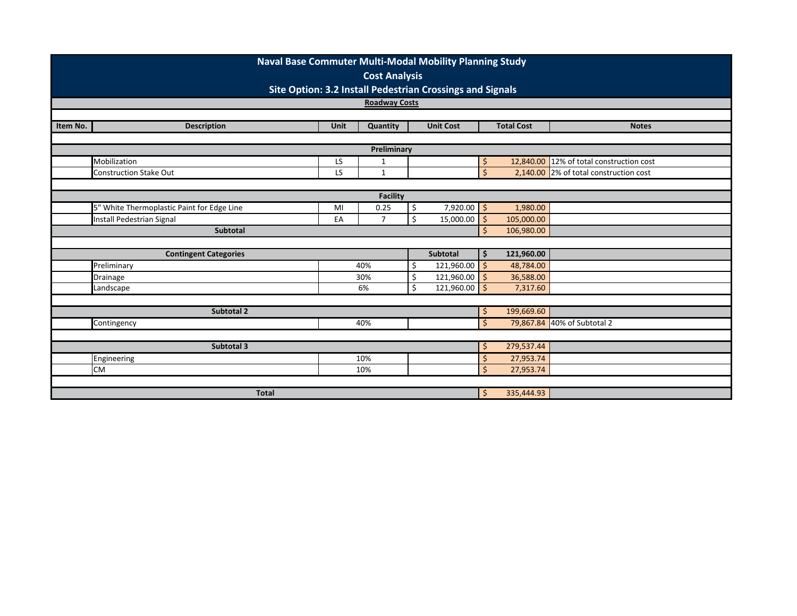|                 | <b>Naval Base Commuter Multi-Modal Mobility Planning Study</b> |             |                    |                                          |                  |              |                   |                               |  |  |  |  |
|-----------------|----------------------------------------------------------------|-------------|--------------------|------------------------------------------|------------------|--------------|-------------------|-------------------------------|--|--|--|--|
|                 | <b>Cost Analysis</b>                                           |             |                    |                                          |                  |              |                   |                               |  |  |  |  |
|                 | Site Option: 3.2 Install Pedestrian Crossings and Signals      |             |                    |                                          |                  |              |                   |                               |  |  |  |  |
|                 | <b>Roadway Costs</b>                                           |             |                    |                                          |                  |              |                   |                               |  |  |  |  |
|                 |                                                                |             |                    |                                          |                  |              |                   |                               |  |  |  |  |
| Item No.        | <b>Description</b>                                             | <b>Unit</b> | Quantity           |                                          | <b>Unit Cost</b> |              | <b>Total Cost</b> | <b>Notes</b>                  |  |  |  |  |
| Preliminary     |                                                                |             |                    |                                          |                  |              |                   |                               |  |  |  |  |
|                 | Mobilization                                                   | Ś           |                    | 12,840.00 12% of total construction cost |                  |              |                   |                               |  |  |  |  |
|                 | <b>Construction Stake Out</b>                                  | LS<br>LS    | 1<br>$\mathbf{1}$  |                                          |                  | $\mathsf{S}$ | 2,140.00          | 2% of total construction cost |  |  |  |  |
|                 |                                                                |             |                    |                                          |                  |              |                   |                               |  |  |  |  |
| <b>Facility</b> |                                                                |             |                    |                                          |                  |              |                   |                               |  |  |  |  |
|                 | 5" White Thermoplastic Paint for Edge Line                     | MI          | 0.25               | \$                                       | $7,920.00$ \$    |              | 1,980.00          |                               |  |  |  |  |
|                 | <b>Install Pedestrian Signal</b>                               | EA          | $\overline{7}$     | \$                                       | 15,000.00        | $\zeta$      | 105,000.00        |                               |  |  |  |  |
|                 | <b>Subtotal</b>                                                |             |                    |                                          |                  | S.           | 106,980.00        |                               |  |  |  |  |
|                 |                                                                |             |                    |                                          |                  |              |                   |                               |  |  |  |  |
|                 | <b>Contingent Categories</b>                                   |             |                    |                                          | Subtotal         | \$           | 121,960.00        |                               |  |  |  |  |
|                 | Preliminary                                                    |             | 40%                | Ś.                                       | 121,960.00       | $\mathsf{S}$ | 48,784.00         |                               |  |  |  |  |
|                 | Drainage                                                       |             | 30%                | \$                                       | 121,960.00       | $\zeta$      | 36,588.00         |                               |  |  |  |  |
|                 | Landscape                                                      |             | 6%                 | Ś.                                       | $121,960.00$ \$  |              | 7,317.60          |                               |  |  |  |  |
|                 | Subtotal 2                                                     |             |                    |                                          |                  |              | 199,669.60        |                               |  |  |  |  |
|                 | Contingency                                                    |             | 40%                |                                          |                  | \$<br>\$     |                   | 79,867.84 40% of Subtotal 2   |  |  |  |  |
|                 |                                                                |             |                    |                                          |                  |              |                   |                               |  |  |  |  |
|                 | Subtotal 3                                                     |             |                    |                                          |                  | \$           | 279,537.44        |                               |  |  |  |  |
|                 | Engineering                                                    |             | \$                 | 27,953.74                                |                  |              |                   |                               |  |  |  |  |
|                 | <b>CM</b>                                                      |             | $\mathsf{\dot{S}}$ | 27,953.74                                |                  |              |                   |                               |  |  |  |  |
|                 |                                                                |             |                    |                                          |                  |              |                   |                               |  |  |  |  |
|                 | <b>Total</b>                                                   |             |                    |                                          |                  | \$           | 335,444.93        |                               |  |  |  |  |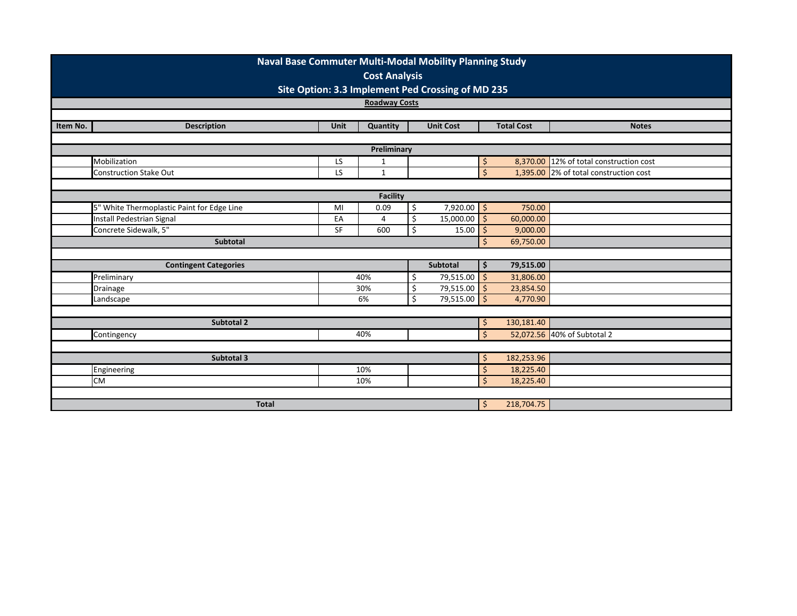| Naval Base Commuter Multi-Modal Mobility Planning Study |                                            |           |                |    |                  |                    |                        |                                        |  |  |  |  |
|---------------------------------------------------------|--------------------------------------------|-----------|----------------|----|------------------|--------------------|------------------------|----------------------------------------|--|--|--|--|
| <b>Cost Analysis</b>                                    |                                            |           |                |    |                  |                    |                        |                                        |  |  |  |  |
| Site Option: 3.3 Implement Ped Crossing of MD 235       |                                            |           |                |    |                  |                    |                        |                                        |  |  |  |  |
| <b>Roadway Costs</b>                                    |                                            |           |                |    |                  |                    |                        |                                        |  |  |  |  |
|                                                         |                                            |           |                |    |                  |                    |                        |                                        |  |  |  |  |
| Item No.                                                | <b>Description</b>                         | Unit      | Quantity       |    | <b>Unit Cost</b> |                    | <b>Total Cost</b>      | <b>Notes</b>                           |  |  |  |  |
| Preliminary                                             |                                            |           |                |    |                  |                    |                        |                                        |  |  |  |  |
|                                                         | Mobilization                               | LS        | $\mathbf{1}$   |    |                  | $\frac{1}{2}$      | 8,370.00               | 12% of total construction cost         |  |  |  |  |
|                                                         | <b>Construction Stake Out</b>              | LS        | $\mathbf{1}$   |    |                  | $\zeta$            |                        | 1,395.00 2% of total construction cost |  |  |  |  |
|                                                         |                                            |           |                |    |                  |                    |                        |                                        |  |  |  |  |
| <b>Facility</b>                                         |                                            |           |                |    |                  |                    |                        |                                        |  |  |  |  |
|                                                         | 5" White Thermoplastic Paint for Edge Line | MI        | 0.09           | \$ | $7,920.00$ \$    |                    | 750.00                 |                                        |  |  |  |  |
|                                                         | Install Pedestrian Signal                  | EA        | $\overline{4}$ | \$ | 15,000.00        | $\zeta$            | 60,000.00              |                                        |  |  |  |  |
|                                                         | Concrete Sidewalk, 5"                      | <b>SF</b> | 600            | \$ | $15.00$ \$       |                    | 9,000.00               |                                        |  |  |  |  |
|                                                         | Subtotal                                   |           |                |    |                  | Ŝ.                 | 69,750.00              |                                        |  |  |  |  |
|                                                         |                                            |           |                |    |                  |                    |                        |                                        |  |  |  |  |
|                                                         | <b>Contingent Categories</b>               |           |                |    | Subtotal         | \$                 | 79,515.00              |                                        |  |  |  |  |
|                                                         | Preliminary                                |           | 40%            | \$ | $79,515.00$ \$   |                    | 31,806.00              |                                        |  |  |  |  |
|                                                         | Drainage                                   |           | 30%            | Ś  | 79,515.00 \$     |                    | 23,854.50              |                                        |  |  |  |  |
|                                                         | Landscape                                  |           | 6%             | Ś. | 79,515.00 \$     |                    | 4,770.90               |                                        |  |  |  |  |
|                                                         | <b>Subtotal 2</b>                          |           |                |    |                  |                    | 130,181.40             |                                        |  |  |  |  |
|                                                         |                                            |           | 40%            |    |                  | \$<br>Ŝ.           |                        | 52,072.56 40% of Subtotal 2            |  |  |  |  |
|                                                         | Contingency                                |           |                |    |                  |                    |                        |                                        |  |  |  |  |
|                                                         | Subtotal 3                                 |           |                |    |                  |                    | 182,253.96             |                                        |  |  |  |  |
|                                                         |                                            |           | 10%            |    |                  | \$<br>Ś            |                        |                                        |  |  |  |  |
|                                                         | Engineering<br><b>CM</b>                   |           | 10%            |    |                  | $\mathsf{\dot{S}}$ | 18,225.40<br>18,225.40 |                                        |  |  |  |  |
|                                                         |                                            |           |                |    |                  |                    |                        |                                        |  |  |  |  |
|                                                         | <b>Total</b>                               |           |                |    |                  | \$                 | 218,704.75             |                                        |  |  |  |  |
|                                                         |                                            |           |                |    |                  |                    |                        |                                        |  |  |  |  |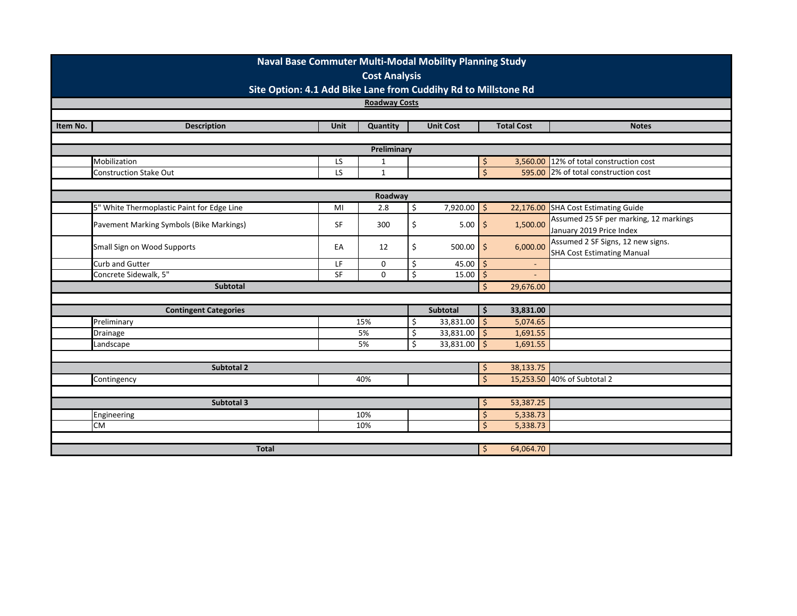| <b>Roadway Costs</b><br>Item No.<br><b>Total Cost</b><br><b>Description</b><br><b>Unit</b><br>Quantity<br><b>Unit Cost</b><br><b>Notes</b><br>Preliminary<br>Mobilization<br>3,560.00<br>12% of total construction cost<br>LS<br>1<br>\$,<br>$\mathsf{\dot{S}}$<br>LS<br><b>Construction Stake Out</b><br>$\mathbf{1}$<br>595.00<br>2% of total construction cost<br>Roadway<br>5" White Thermoplastic Paint for Edge Line<br>\$<br>$7,920.00$ \$<br>2.8<br>22,176.00<br>SHA Cost Estimating Guide<br>MI<br>Assumed 25 SF per marking, 12 markings<br>$5.00$ \$<br>\$<br>1,500.00<br>Pavement Marking Symbols (Bike Markings)<br>SF<br>300<br>January 2019 Price Index<br>Assumed 2 SF Signs, 12 new signs.<br>\$<br>$\ddot{\mathsf{S}}$<br>Small Sign on Wood Supports<br>6,000.00<br>EA<br>12<br>500.00<br><b>SHA Cost Estimating Manual</b><br>Curb and Gutter<br>\$<br>LF<br>0<br>45.00<br>\$<br>$\overline{\phantom{a}}$<br>$\overline{\xi}$<br>Concrete Sidewalk, 5"<br>SF<br>0<br>15.00<br>\$<br><b>Subtotal</b><br>29,676.00<br>Ŝ.<br>Subtotal<br>33,831.00<br><b>Contingent Categories</b><br>\$.<br>Preliminary<br>$33,831.00$ \$<br>5,074.65<br>15%<br>\$<br>\$<br>33,831.00 \$<br>5%<br>1,691.55<br><b>Drainage</b><br>\$<br>$\ddot{\mathsf{S}}$<br>5%<br>33,831.00<br>1,691.55<br>Landscape<br>38,133.75<br>Subtotal 2<br>\$<br>15,253.50 40% of Subtotal 2<br>40%<br>Contingency<br>Ś.<br>53,387.25<br>Subtotal 3<br>\$<br>5,338.73<br>10%<br>$\zeta$<br>Engineering<br>10% | Naval Base Commuter Multi-Modal Mobility Planning Study<br><b>Cost Analysis</b> |  |  |  |  |                    |          |  |  |  |  |
|-------------------------------------------------------------------------------------------------------------------------------------------------------------------------------------------------------------------------------------------------------------------------------------------------------------------------------------------------------------------------------------------------------------------------------------------------------------------------------------------------------------------------------------------------------------------------------------------------------------------------------------------------------------------------------------------------------------------------------------------------------------------------------------------------------------------------------------------------------------------------------------------------------------------------------------------------------------------------------------------------------------------------------------------------------------------------------------------------------------------------------------------------------------------------------------------------------------------------------------------------------------------------------------------------------------------------------------------------------------------------------------------------------------------------------------------------------------------------------------------|---------------------------------------------------------------------------------|--|--|--|--|--------------------|----------|--|--|--|--|
|                                                                                                                                                                                                                                                                                                                                                                                                                                                                                                                                                                                                                                                                                                                                                                                                                                                                                                                                                                                                                                                                                                                                                                                                                                                                                                                                                                                                                                                                                           | Site Option: 4.1 Add Bike Lane from Cuddihy Rd to Millstone Rd                  |  |  |  |  |                    |          |  |  |  |  |
|                                                                                                                                                                                                                                                                                                                                                                                                                                                                                                                                                                                                                                                                                                                                                                                                                                                                                                                                                                                                                                                                                                                                                                                                                                                                                                                                                                                                                                                                                           |                                                                                 |  |  |  |  |                    |          |  |  |  |  |
|                                                                                                                                                                                                                                                                                                                                                                                                                                                                                                                                                                                                                                                                                                                                                                                                                                                                                                                                                                                                                                                                                                                                                                                                                                                                                                                                                                                                                                                                                           |                                                                                 |  |  |  |  |                    |          |  |  |  |  |
|                                                                                                                                                                                                                                                                                                                                                                                                                                                                                                                                                                                                                                                                                                                                                                                                                                                                                                                                                                                                                                                                                                                                                                                                                                                                                                                                                                                                                                                                                           |                                                                                 |  |  |  |  |                    |          |  |  |  |  |
|                                                                                                                                                                                                                                                                                                                                                                                                                                                                                                                                                                                                                                                                                                                                                                                                                                                                                                                                                                                                                                                                                                                                                                                                                                                                                                                                                                                                                                                                                           |                                                                                 |  |  |  |  |                    |          |  |  |  |  |
|                                                                                                                                                                                                                                                                                                                                                                                                                                                                                                                                                                                                                                                                                                                                                                                                                                                                                                                                                                                                                                                                                                                                                                                                                                                                                                                                                                                                                                                                                           |                                                                                 |  |  |  |  |                    |          |  |  |  |  |
|                                                                                                                                                                                                                                                                                                                                                                                                                                                                                                                                                                                                                                                                                                                                                                                                                                                                                                                                                                                                                                                                                                                                                                                                                                                                                                                                                                                                                                                                                           |                                                                                 |  |  |  |  |                    |          |  |  |  |  |
|                                                                                                                                                                                                                                                                                                                                                                                                                                                                                                                                                                                                                                                                                                                                                                                                                                                                                                                                                                                                                                                                                                                                                                                                                                                                                                                                                                                                                                                                                           |                                                                                 |  |  |  |  |                    |          |  |  |  |  |
|                                                                                                                                                                                                                                                                                                                                                                                                                                                                                                                                                                                                                                                                                                                                                                                                                                                                                                                                                                                                                                                                                                                                                                                                                                                                                                                                                                                                                                                                                           |                                                                                 |  |  |  |  |                    |          |  |  |  |  |
|                                                                                                                                                                                                                                                                                                                                                                                                                                                                                                                                                                                                                                                                                                                                                                                                                                                                                                                                                                                                                                                                                                                                                                                                                                                                                                                                                                                                                                                                                           |                                                                                 |  |  |  |  |                    |          |  |  |  |  |
|                                                                                                                                                                                                                                                                                                                                                                                                                                                                                                                                                                                                                                                                                                                                                                                                                                                                                                                                                                                                                                                                                                                                                                                                                                                                                                                                                                                                                                                                                           |                                                                                 |  |  |  |  |                    |          |  |  |  |  |
|                                                                                                                                                                                                                                                                                                                                                                                                                                                                                                                                                                                                                                                                                                                                                                                                                                                                                                                                                                                                                                                                                                                                                                                                                                                                                                                                                                                                                                                                                           |                                                                                 |  |  |  |  |                    |          |  |  |  |  |
|                                                                                                                                                                                                                                                                                                                                                                                                                                                                                                                                                                                                                                                                                                                                                                                                                                                                                                                                                                                                                                                                                                                                                                                                                                                                                                                                                                                                                                                                                           |                                                                                 |  |  |  |  |                    |          |  |  |  |  |
|                                                                                                                                                                                                                                                                                                                                                                                                                                                                                                                                                                                                                                                                                                                                                                                                                                                                                                                                                                                                                                                                                                                                                                                                                                                                                                                                                                                                                                                                                           |                                                                                 |  |  |  |  |                    |          |  |  |  |  |
|                                                                                                                                                                                                                                                                                                                                                                                                                                                                                                                                                                                                                                                                                                                                                                                                                                                                                                                                                                                                                                                                                                                                                                                                                                                                                                                                                                                                                                                                                           |                                                                                 |  |  |  |  |                    |          |  |  |  |  |
|                                                                                                                                                                                                                                                                                                                                                                                                                                                                                                                                                                                                                                                                                                                                                                                                                                                                                                                                                                                                                                                                                                                                                                                                                                                                                                                                                                                                                                                                                           |                                                                                 |  |  |  |  |                    |          |  |  |  |  |
|                                                                                                                                                                                                                                                                                                                                                                                                                                                                                                                                                                                                                                                                                                                                                                                                                                                                                                                                                                                                                                                                                                                                                                                                                                                                                                                                                                                                                                                                                           |                                                                                 |  |  |  |  |                    |          |  |  |  |  |
|                                                                                                                                                                                                                                                                                                                                                                                                                                                                                                                                                                                                                                                                                                                                                                                                                                                                                                                                                                                                                                                                                                                                                                                                                                                                                                                                                                                                                                                                                           |                                                                                 |  |  |  |  |                    |          |  |  |  |  |
|                                                                                                                                                                                                                                                                                                                                                                                                                                                                                                                                                                                                                                                                                                                                                                                                                                                                                                                                                                                                                                                                                                                                                                                                                                                                                                                                                                                                                                                                                           |                                                                                 |  |  |  |  |                    |          |  |  |  |  |
|                                                                                                                                                                                                                                                                                                                                                                                                                                                                                                                                                                                                                                                                                                                                                                                                                                                                                                                                                                                                                                                                                                                                                                                                                                                                                                                                                                                                                                                                                           |                                                                                 |  |  |  |  |                    |          |  |  |  |  |
|                                                                                                                                                                                                                                                                                                                                                                                                                                                                                                                                                                                                                                                                                                                                                                                                                                                                                                                                                                                                                                                                                                                                                                                                                                                                                                                                                                                                                                                                                           |                                                                                 |  |  |  |  |                    |          |  |  |  |  |
|                                                                                                                                                                                                                                                                                                                                                                                                                                                                                                                                                                                                                                                                                                                                                                                                                                                                                                                                                                                                                                                                                                                                                                                                                                                                                                                                                                                                                                                                                           |                                                                                 |  |  |  |  |                    |          |  |  |  |  |
|                                                                                                                                                                                                                                                                                                                                                                                                                                                                                                                                                                                                                                                                                                                                                                                                                                                                                                                                                                                                                                                                                                                                                                                                                                                                                                                                                                                                                                                                                           |                                                                                 |  |  |  |  |                    |          |  |  |  |  |
|                                                                                                                                                                                                                                                                                                                                                                                                                                                                                                                                                                                                                                                                                                                                                                                                                                                                                                                                                                                                                                                                                                                                                                                                                                                                                                                                                                                                                                                                                           |                                                                                 |  |  |  |  |                    |          |  |  |  |  |
|                                                                                                                                                                                                                                                                                                                                                                                                                                                                                                                                                                                                                                                                                                                                                                                                                                                                                                                                                                                                                                                                                                                                                                                                                                                                                                                                                                                                                                                                                           |                                                                                 |  |  |  |  |                    |          |  |  |  |  |
|                                                                                                                                                                                                                                                                                                                                                                                                                                                                                                                                                                                                                                                                                                                                                                                                                                                                                                                                                                                                                                                                                                                                                                                                                                                                                                                                                                                                                                                                                           |                                                                                 |  |  |  |  |                    |          |  |  |  |  |
|                                                                                                                                                                                                                                                                                                                                                                                                                                                                                                                                                                                                                                                                                                                                                                                                                                                                                                                                                                                                                                                                                                                                                                                                                                                                                                                                                                                                                                                                                           |                                                                                 |  |  |  |  |                    |          |  |  |  |  |
|                                                                                                                                                                                                                                                                                                                                                                                                                                                                                                                                                                                                                                                                                                                                                                                                                                                                                                                                                                                                                                                                                                                                                                                                                                                                                                                                                                                                                                                                                           | <b>CM</b>                                                                       |  |  |  |  | $\mathsf{\dot{S}}$ | 5,338.73 |  |  |  |  |
|                                                                                                                                                                                                                                                                                                                                                                                                                                                                                                                                                                                                                                                                                                                                                                                                                                                                                                                                                                                                                                                                                                                                                                                                                                                                                                                                                                                                                                                                                           |                                                                                 |  |  |  |  |                    |          |  |  |  |  |
| 64,064.70<br><b>Total</b><br>\$                                                                                                                                                                                                                                                                                                                                                                                                                                                                                                                                                                                                                                                                                                                                                                                                                                                                                                                                                                                                                                                                                                                                                                                                                                                                                                                                                                                                                                                           |                                                                                 |  |  |  |  |                    |          |  |  |  |  |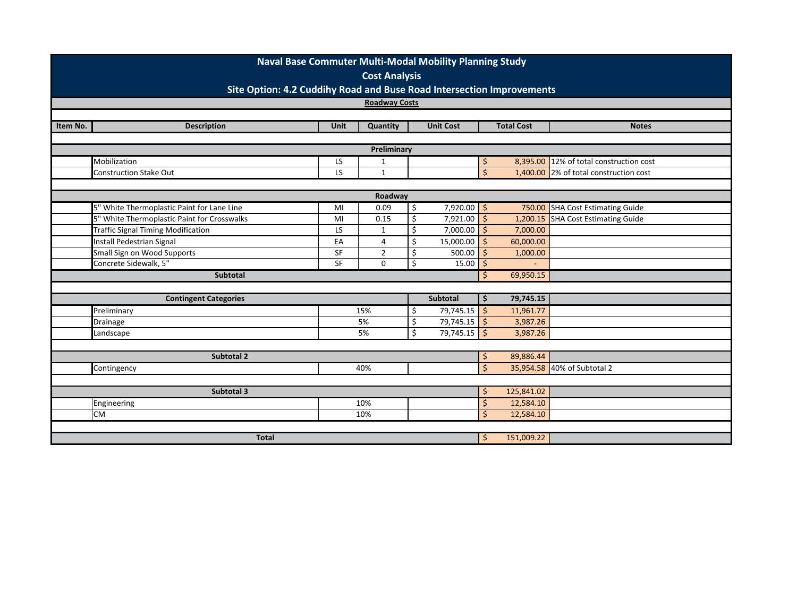|                                                                       | Naval Base Commuter Multi-Modal Mobility Planning Study<br><b>Cost Analysis</b> |             |                |    |                  |                    |                   |                                        |  |  |
|-----------------------------------------------------------------------|---------------------------------------------------------------------------------|-------------|----------------|----|------------------|--------------------|-------------------|----------------------------------------|--|--|
| Site Option: 4.2 Cuddihy Road and Buse Road Intersection Improvements |                                                                                 |             |                |    |                  |                    |                   |                                        |  |  |
|                                                                       | <b>Roadway Costs</b>                                                            |             |                |    |                  |                    |                   |                                        |  |  |
|                                                                       |                                                                                 |             |                |    |                  |                    |                   |                                        |  |  |
| Item No.                                                              | <b>Description</b>                                                              | <b>Unit</b> | Quantity       |    | <b>Unit Cost</b> |                    | <b>Total Cost</b> | <b>Notes</b>                           |  |  |
|                                                                       |                                                                                 |             |                |    |                  |                    |                   |                                        |  |  |
| Preliminary                                                           |                                                                                 |             |                |    |                  |                    |                   |                                        |  |  |
|                                                                       | Mobilization                                                                    | LS          | 1              |    |                  | \$                 | 8,395.00          | 12% of total construction cost         |  |  |
|                                                                       | <b>Construction Stake Out</b>                                                   | LS          | $\mathbf{1}$   |    |                  | $\mathsf{S}$       |                   | 1,400.00 2% of total construction cost |  |  |
|                                                                       |                                                                                 |             |                |    |                  |                    |                   |                                        |  |  |
|                                                                       |                                                                                 |             | Roadway        |    |                  |                    |                   |                                        |  |  |
|                                                                       | 5" White Thermoplastic Paint for Lane Line                                      | MI          | 0.09           | \$ | $7,920.00$ \$    |                    |                   | 750.00 SHA Cost Estimating Guide       |  |  |
|                                                                       | 5" White Thermoplastic Paint for Crosswalks                                     | MI          | 0.15           | \$ | 7,921.00         | $\zeta$            | 1,200.15          | <b>SHA Cost Estimating Guide</b>       |  |  |
|                                                                       | <b>Traffic Signal Timing Modification</b>                                       | LS          | $\mathbf 1$    | \$ | $7,000.00$ \$    |                    | 7,000.00          |                                        |  |  |
|                                                                       | Install Pedestrian Signal                                                       | EA          | 4              | Ś  | 15,000.00        | <sup>5</sup>       | 60,000.00         |                                        |  |  |
|                                                                       | Small Sign on Wood Supports                                                     | SF          | $\overline{2}$ | \$ | 500.00           | $\zeta$            | 1,000.00          |                                        |  |  |
|                                                                       | Concrete Sidewalk, 5"                                                           | SF          | 0              | \$ | 15.00            | Ś                  |                   |                                        |  |  |
|                                                                       | Subtotal                                                                        |             |                |    |                  | Ŝ.                 | 69,950.15         |                                        |  |  |
|                                                                       |                                                                                 |             |                |    |                  |                    |                   |                                        |  |  |
|                                                                       | <b>Contingent Categories</b>                                                    |             |                |    | Subtotal         | \$                 | 79,745.15         |                                        |  |  |
|                                                                       | Preliminary                                                                     |             | 15%            | \$ | $79,745.15$ \$   |                    | 11,961.77         |                                        |  |  |
|                                                                       | Drainage                                                                        |             | 5%             | \$ | $79,745.15$ \$   |                    | 3,987.26          |                                        |  |  |
|                                                                       | Landscape                                                                       |             | 5%             | \$ | $79,745.15$ \$   |                    | 3,987.26          |                                        |  |  |
|                                                                       |                                                                                 |             |                |    |                  |                    |                   |                                        |  |  |
|                                                                       | <b>Subtotal 2</b>                                                               |             |                |    |                  | \$                 | 89,886.44         |                                        |  |  |
|                                                                       | Contingency                                                                     |             | 40%            |    |                  | Ś                  |                   | 35,954.58 40% of Subtotal 2            |  |  |
|                                                                       |                                                                                 |             |                |    |                  |                    |                   |                                        |  |  |
|                                                                       | Subtotal 3                                                                      |             |                |    |                  | \$                 | 125,841.02        |                                        |  |  |
|                                                                       | Engineering                                                                     |             | 10%            |    |                  | \$                 | 12,584.10         |                                        |  |  |
|                                                                       | <b>CM</b>                                                                       |             | 10%            |    |                  | $\mathsf{\dot{S}}$ | 12,584.10         |                                        |  |  |
|                                                                       |                                                                                 |             |                |    |                  |                    |                   |                                        |  |  |
|                                                                       | <b>Total</b>                                                                    |             |                |    |                  | \$                 | 151,009.22        |                                        |  |  |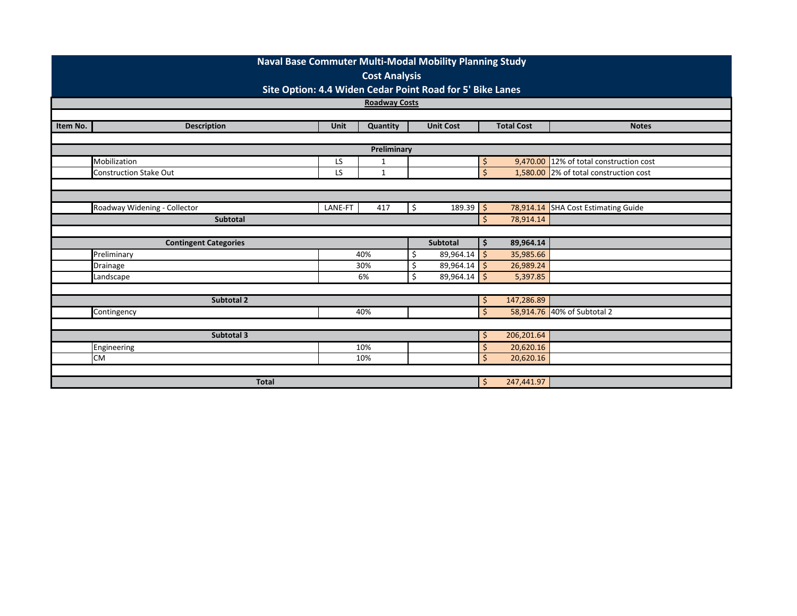| <b>Naval Base Commuter Multi-Modal Mobility Planning Study</b> |                              |         |              |    |                  |              |                   |                                         |  |  |  |  |
|----------------------------------------------------------------|------------------------------|---------|--------------|----|------------------|--------------|-------------------|-----------------------------------------|--|--|--|--|
|                                                                | <b>Cost Analysis</b>         |         |              |    |                  |              |                   |                                         |  |  |  |  |
| Site Option: 4.4 Widen Cedar Point Road for 5' Bike Lanes      |                              |         |              |    |                  |              |                   |                                         |  |  |  |  |
|                                                                | <b>Roadway Costs</b>         |         |              |    |                  |              |                   |                                         |  |  |  |  |
|                                                                |                              |         |              |    |                  |              |                   |                                         |  |  |  |  |
| Item No.                                                       | <b>Description</b>           | Unit    | Quantity     |    | <b>Unit Cost</b> |              | <b>Total Cost</b> | <b>Notes</b>                            |  |  |  |  |
|                                                                |                              |         |              |    |                  |              |                   |                                         |  |  |  |  |
| Preliminary                                                    |                              |         |              |    |                  |              |                   |                                         |  |  |  |  |
|                                                                | Mobilization                 | LS      | $\mathbf 1$  |    |                  | \$           |                   | 9,470.00 12% of total construction cost |  |  |  |  |
|                                                                | Construction Stake Out       | LS      | $\mathbf{1}$ |    |                  | $\mathsf{S}$ |                   | 1,580.00 2% of total construction cost  |  |  |  |  |
|                                                                |                              |         |              |    |                  |              |                   |                                         |  |  |  |  |
|                                                                |                              |         |              |    |                  |              |                   |                                         |  |  |  |  |
|                                                                | Roadway Widening - Collector | LANE-FT | 417          | \$ | $189.39$ \$      |              |                   | 78,914.14 SHA Cost Estimating Guide     |  |  |  |  |
|                                                                | Subtotal                     |         |              |    |                  |              | 78,914.14         |                                         |  |  |  |  |
|                                                                |                              |         |              |    |                  |              |                   |                                         |  |  |  |  |
|                                                                | <b>Contingent Categories</b> |         |              |    | <b>Subtotal</b>  | \$           | 89,964.14         |                                         |  |  |  |  |
|                                                                | Preliminary                  |         | 40%          | Ś  | $89,964.14$ \$   |              | 35,985.66         |                                         |  |  |  |  |
|                                                                | Drainage                     |         | 30%          |    | 89,964.14        | S.           | 26,989.24         |                                         |  |  |  |  |
|                                                                | Landscape                    |         | 6%           | Ś. | 89,964.14        | S.           | 5,397.85          |                                         |  |  |  |  |
|                                                                |                              |         |              |    |                  |              |                   |                                         |  |  |  |  |
|                                                                | Subtotal 2                   |         |              |    |                  | \$           | 147,286.89        |                                         |  |  |  |  |
|                                                                | Contingency                  |         | 40%          |    |                  | $\mathsf{S}$ |                   | 58,914.76 40% of Subtotal 2             |  |  |  |  |
|                                                                |                              |         |              |    |                  |              |                   |                                         |  |  |  |  |
|                                                                | Subtotal 3                   |         |              |    |                  | \$           | 206,201.64        |                                         |  |  |  |  |
|                                                                | Engineering                  |         | 10%          |    |                  | Ŝ            | 20,620.16         |                                         |  |  |  |  |
|                                                                | <b>CM</b>                    |         | 10%          |    |                  | Ś            | 20,620.16         |                                         |  |  |  |  |
|                                                                |                              |         |              |    |                  |              |                   |                                         |  |  |  |  |
|                                                                | <b>Total</b>                 |         |              |    |                  | \$           | 247,441.97        |                                         |  |  |  |  |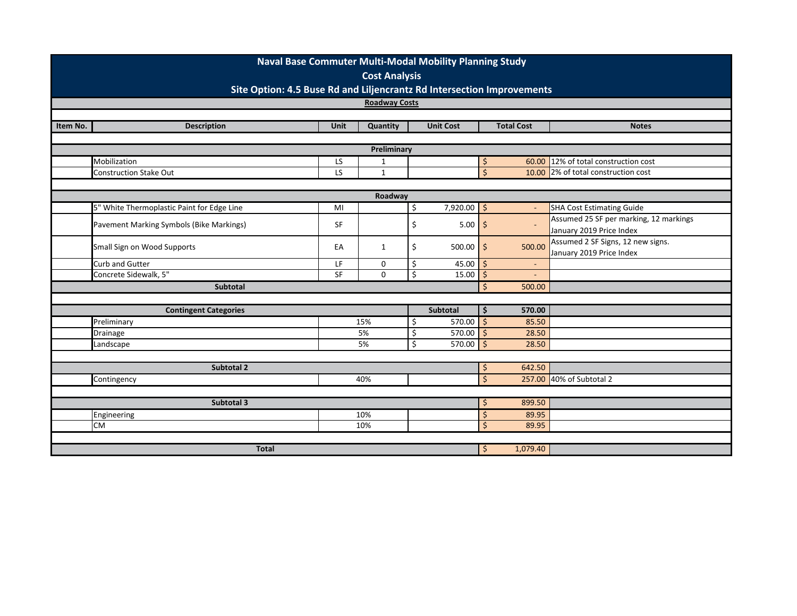|          | Naval Base Commuter Multi-Modal Mobility Planning Study<br><b>Cost Analysis</b> |                 |                             |    |                  |                                |                   |                                                                 |  |  |  |
|----------|---------------------------------------------------------------------------------|-----------------|-----------------------------|----|------------------|--------------------------------|-------------------|-----------------------------------------------------------------|--|--|--|
|          | Site Option: 4.5 Buse Rd and Liljencrantz Rd Intersection Improvements          |                 |                             |    |                  |                                |                   |                                                                 |  |  |  |
|          | <b>Roadway Costs</b>                                                            |                 |                             |    |                  |                                |                   |                                                                 |  |  |  |
|          |                                                                                 |                 |                             |    |                  |                                |                   |                                                                 |  |  |  |
| Item No. | <b>Description</b>                                                              | <b>Unit</b>     | Quantity                    |    | <b>Unit Cost</b> |                                | <b>Total Cost</b> | <b>Notes</b>                                                    |  |  |  |
|          |                                                                                 |                 |                             |    |                  |                                |                   |                                                                 |  |  |  |
|          |                                                                                 |                 | Preliminary                 |    |                  |                                |                   |                                                                 |  |  |  |
|          | Mobilization<br>Construction Stake Out                                          | LS<br><b>LS</b> | $\mathbf 1$<br>$\mathbf{1}$ |    |                  | \$<br>$\overline{\mathcal{S}}$ | 60.00<br>10.00    | 12% of total construction cost<br>2% of total construction cost |  |  |  |
|          |                                                                                 |                 |                             |    |                  |                                |                   |                                                                 |  |  |  |
|          | Roadway                                                                         |                 |                             |    |                  |                                |                   |                                                                 |  |  |  |
|          | 5" White Thermoplastic Paint for Edge Line                                      | MI              |                             | \$ | $7,920.00$ \$    |                                | $\blacksquare$    | <b>SHA Cost Estimating Guide</b>                                |  |  |  |
|          |                                                                                 | SF              |                             |    | $5.00$ \$        |                                | $\mathbf{r}$      | Assumed 25 SF per marking, 12 markings                          |  |  |  |
|          | Pavement Marking Symbols (Bike Markings)                                        |                 |                             | \$ |                  |                                |                   | January 2019 Price Index                                        |  |  |  |
|          | Small Sign on Wood Supports                                                     | EA              | 1                           | \$ | $500.00$ \$      |                                | 500.00            | Assumed 2 SF Signs, 12 new signs.                               |  |  |  |
|          |                                                                                 |                 |                             |    |                  |                                |                   | January 2019 Price Index                                        |  |  |  |
|          | Curb and Gutter                                                                 | LF              | 0                           | \$ | 45.00            | \$.                            | $\blacksquare$    |                                                                 |  |  |  |
|          | Concrete Sidewalk, 5"                                                           | <b>SF</b>       | $\Omega$                    | \$ | 15.00            | \$                             |                   |                                                                 |  |  |  |
|          | <b>Subtotal</b>                                                                 |                 |                             |    |                  | \$                             | 500.00            |                                                                 |  |  |  |
|          | <b>Contingent Categories</b>                                                    |                 |                             |    | Subtotal         | \$                             | 570.00            |                                                                 |  |  |  |
|          | Preliminary                                                                     |                 | 15%                         | Ś. | $570.00$ \$      |                                | 85.50             |                                                                 |  |  |  |
|          | Drainage                                                                        |                 | 5%                          | \$ | 570.00 \$        |                                | 28.50             |                                                                 |  |  |  |
|          | Landscape                                                                       |                 | 5%                          | \$ | 570.00 \$        |                                | 28.50             |                                                                 |  |  |  |
|          |                                                                                 |                 |                             |    |                  |                                |                   |                                                                 |  |  |  |
|          | Subtotal 2                                                                      |                 |                             |    |                  | \$                             | 642.50            |                                                                 |  |  |  |
|          | Contingency                                                                     |                 | 40%                         |    |                  | $\mathsf{\dot{S}}$             |                   | 257.00 40% of Subtotal 2                                        |  |  |  |
|          |                                                                                 |                 |                             |    |                  |                                |                   |                                                                 |  |  |  |
|          | Subtotal 3                                                                      |                 |                             |    |                  | \$                             | 899.50            |                                                                 |  |  |  |
|          | Engineering                                                                     |                 | 10%                         |    |                  | $\zeta$                        | 89.95             |                                                                 |  |  |  |
|          | <b>CM</b>                                                                       |                 | 10%                         |    |                  | $\mathsf{\dot{S}}$             | 89.95             |                                                                 |  |  |  |
|          |                                                                                 |                 |                             |    |                  |                                |                   |                                                                 |  |  |  |
|          | <b>Total</b>                                                                    | \$              | 1,079.40                    |    |                  |                                |                   |                                                                 |  |  |  |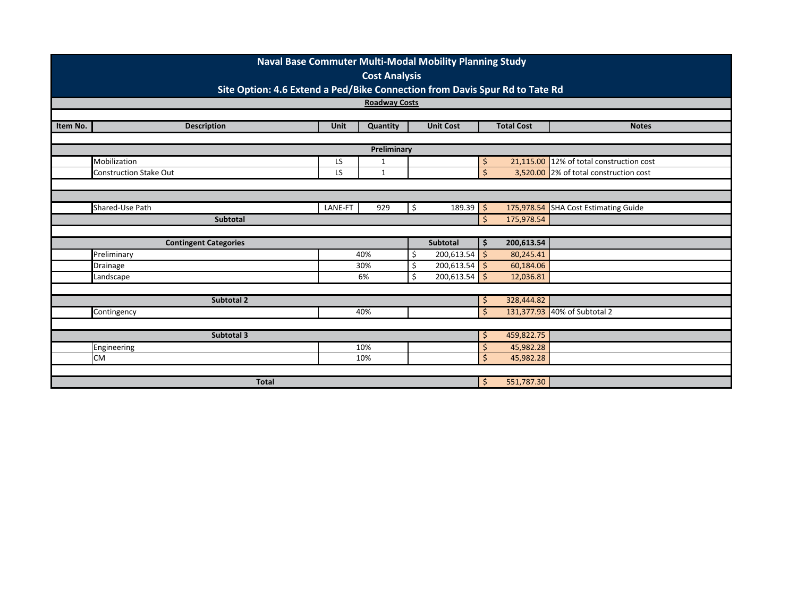| Naval Base Commuter Multi-Modal Mobility Planning Study                     |                               |             |              |    |                  |                    |                   |                                          |  |  |  |  |
|-----------------------------------------------------------------------------|-------------------------------|-------------|--------------|----|------------------|--------------------|-------------------|------------------------------------------|--|--|--|--|
|                                                                             | <b>Cost Analysis</b>          |             |              |    |                  |                    |                   |                                          |  |  |  |  |
| Site Option: 4.6 Extend a Ped/Bike Connection from Davis Spur Rd to Tate Rd |                               |             |              |    |                  |                    |                   |                                          |  |  |  |  |
|                                                                             | <b>Roadway Costs</b>          |             |              |    |                  |                    |                   |                                          |  |  |  |  |
|                                                                             |                               |             |              |    |                  |                    |                   |                                          |  |  |  |  |
| Item No.                                                                    | <b>Description</b>            | <b>Unit</b> | Quantity     |    | <b>Unit Cost</b> |                    | <b>Total Cost</b> | <b>Notes</b>                             |  |  |  |  |
| Preliminary                                                                 |                               |             |              |    |                  |                    |                   |                                          |  |  |  |  |
|                                                                             | Mobilization                  | LS          | 1            |    |                  | \$                 |                   | 21,115.00 12% of total construction cost |  |  |  |  |
|                                                                             | <b>Construction Stake Out</b> | LS          | $\mathbf{1}$ |    |                  | $\mathsf{\dot{S}}$ |                   | 3,520.00 2% of total construction cost   |  |  |  |  |
|                                                                             |                               |             |              |    |                  |                    |                   |                                          |  |  |  |  |
|                                                                             |                               |             |              |    |                  |                    |                   |                                          |  |  |  |  |
|                                                                             | Shared-Use Path               | LANE-FT     | 929          | \$ | $189.39$ \$      |                    |                   | 175,978.54 SHA Cost Estimating Guide     |  |  |  |  |
|                                                                             | <b>Subtotal</b>               |             |              |    |                  | Ś                  | 175,978.54        |                                          |  |  |  |  |
|                                                                             |                               |             |              |    |                  |                    |                   |                                          |  |  |  |  |
|                                                                             | <b>Contingent Categories</b>  |             |              |    | <b>Subtotal</b>  | \$                 | 200,613.54        |                                          |  |  |  |  |
|                                                                             | Preliminary                   |             | 40%          | Ś  | $200,613.54$ \$  |                    | 80,245.41         |                                          |  |  |  |  |
|                                                                             | Drainage                      |             | 30%          | Ś  | $200,613.54$ \$  |                    | 60,184.06         |                                          |  |  |  |  |
|                                                                             | Landscape                     |             | 6%           | Ś. | $200,613.54$ \$  |                    | 12,036.81         |                                          |  |  |  |  |
|                                                                             |                               |             |              |    |                  |                    |                   |                                          |  |  |  |  |
|                                                                             | Subtotal 2                    |             |              |    |                  | \$                 | 328,444.82        |                                          |  |  |  |  |
|                                                                             | Contingency                   |             | 40%          |    |                  | $\mathsf{S}$       |                   | 131,377.93 40% of Subtotal 2             |  |  |  |  |
|                                                                             |                               |             |              |    |                  |                    |                   |                                          |  |  |  |  |
|                                                                             | <b>Subtotal 3</b>             |             |              |    |                  | \$                 | 459,822.75        |                                          |  |  |  |  |
|                                                                             | Engineering                   |             | 10%          |    |                  | S                  | 45,982.28         |                                          |  |  |  |  |
|                                                                             | <b>CM</b>                     |             | 10%          |    |                  | $\mathsf{\dot{S}}$ | 45,982.28         |                                          |  |  |  |  |
|                                                                             |                               |             |              |    |                  |                    |                   |                                          |  |  |  |  |
|                                                                             | <b>Total</b>                  |             |              |    |                  | \$                 | 551,787.30        |                                          |  |  |  |  |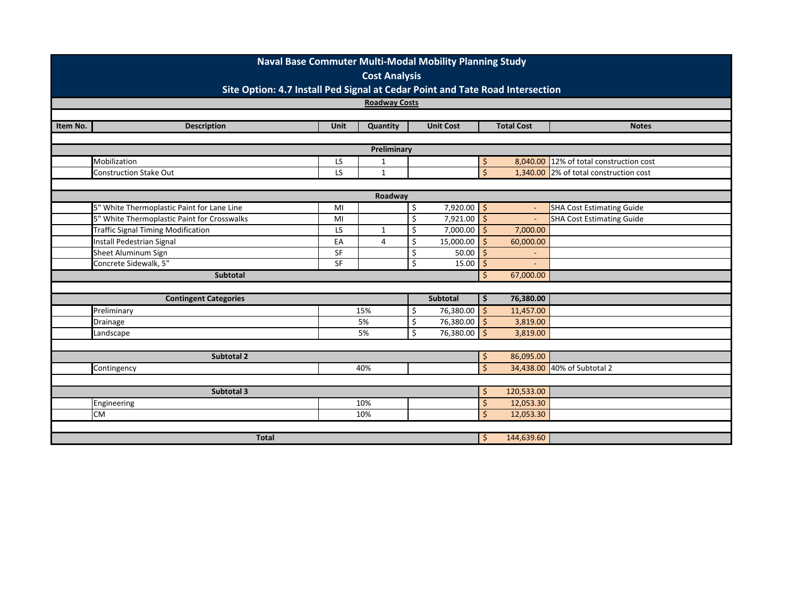|                                                                                                       | Naval Base Commuter Multi-Modal Mobility Planning Study<br><b>Cost Analysis</b> |             |                |    |                  |                    |                          |                                        |  |  |  |
|-------------------------------------------------------------------------------------------------------|---------------------------------------------------------------------------------|-------------|----------------|----|------------------|--------------------|--------------------------|----------------------------------------|--|--|--|
| Site Option: 4.7 Install Ped Signal at Cedar Point and Tate Road Intersection<br><b>Roadway Costs</b> |                                                                                 |             |                |    |                  |                    |                          |                                        |  |  |  |
|                                                                                                       |                                                                                 |             |                |    |                  |                    |                          |                                        |  |  |  |
| Item No.                                                                                              | <b>Description</b>                                                              | <b>Unit</b> | Quantity       |    | <b>Unit Cost</b> |                    | <b>Total Cost</b>        | <b>Notes</b>                           |  |  |  |
|                                                                                                       |                                                                                 |             |                |    |                  |                    |                          |                                        |  |  |  |
| Preliminary                                                                                           |                                                                                 |             |                |    |                  |                    |                          |                                        |  |  |  |
|                                                                                                       | Mobilization                                                                    | LS          | 1              |    |                  | \$                 | 8,040.00                 | 12% of total construction cost         |  |  |  |
|                                                                                                       | <b>Construction Stake Out</b>                                                   | LS          | $\mathbf{1}$   |    |                  | $\mathsf{S}$       |                          | 1,340.00 2% of total construction cost |  |  |  |
|                                                                                                       |                                                                                 |             |                |    |                  |                    |                          |                                        |  |  |  |
| Roadway                                                                                               |                                                                                 |             |                |    |                  |                    |                          |                                        |  |  |  |
|                                                                                                       | 5" White Thermoplastic Paint for Lane Line                                      | MI          |                | \$ | $7,920.00$ \$    |                    | $\blacksquare$           | <b>SHA Cost Estimating Guide</b>       |  |  |  |
|                                                                                                       | 5" White Thermoplastic Paint for Crosswalks                                     | MI          |                | \$ | 7,921.00         | $\zeta$            | $\omega$                 | <b>SHA Cost Estimating Guide</b>       |  |  |  |
|                                                                                                       | <b>Traffic Signal Timing Modification</b>                                       | LS          | $\mathbf{1}$   | \$ | $7,000.00$ \$    |                    | 7,000.00                 |                                        |  |  |  |
|                                                                                                       | Install Pedestrian Signal                                                       | EA          | $\overline{4}$ | Ś  | 15,000.00        | Ś                  | 60,000.00                |                                        |  |  |  |
|                                                                                                       | Sheet Aluminum Sign                                                             | SF          |                | \$ | 50.00            | $\mathsf{\dot{S}}$ | $\overline{\phantom{a}}$ |                                        |  |  |  |
|                                                                                                       | Concrete Sidewalk, 5"                                                           | SF          |                | \$ | 15.00            | Ś                  |                          |                                        |  |  |  |
|                                                                                                       | Subtotal                                                                        |             |                |    |                  | Ŝ.                 | 67,000.00                |                                        |  |  |  |
|                                                                                                       |                                                                                 |             |                |    |                  |                    |                          |                                        |  |  |  |
|                                                                                                       | <b>Contingent Categories</b>                                                    |             |                |    | Subtotal         | \$                 | 76,380.00                |                                        |  |  |  |
|                                                                                                       | Preliminary                                                                     |             | 15%            | \$ | $76,380.00$ \$   |                    | 11,457.00                |                                        |  |  |  |
|                                                                                                       | Drainage                                                                        |             | 5%             | \$ | 76,380.00 \$     |                    | 3,819.00                 |                                        |  |  |  |
|                                                                                                       | Landscape                                                                       |             | 5%             | \$ | 76,380.00 \$     |                    | 3,819.00                 |                                        |  |  |  |
|                                                                                                       |                                                                                 |             |                |    |                  |                    |                          |                                        |  |  |  |
|                                                                                                       | <b>Subtotal 2</b>                                                               |             |                |    |                  | \$                 | 86,095.00                |                                        |  |  |  |
|                                                                                                       | Contingency                                                                     |             | 40%            |    |                  | Ś                  |                          | 34,438.00 40% of Subtotal 2            |  |  |  |
|                                                                                                       |                                                                                 |             |                |    |                  |                    |                          |                                        |  |  |  |
|                                                                                                       | Subtotal 3                                                                      |             |                |    |                  | \$                 | 120,533.00               |                                        |  |  |  |
|                                                                                                       | Engineering                                                                     |             | 10%            |    |                  | \$                 | 12,053.30                |                                        |  |  |  |
|                                                                                                       | <b>CM</b>                                                                       |             | 10%            |    |                  | $\mathsf{\dot{S}}$ | 12,053.30                |                                        |  |  |  |
|                                                                                                       |                                                                                 |             |                |    |                  |                    |                          |                                        |  |  |  |
|                                                                                                       | <b>Total</b>                                                                    |             |                |    |                  | \$                 | 144,639.60               |                                        |  |  |  |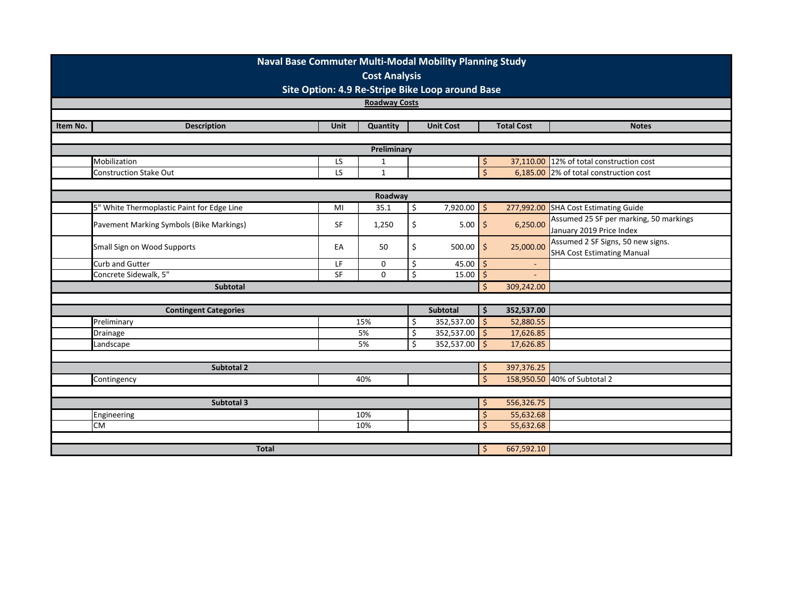|          | Naval Base Commuter Multi-Modal Mobility Planning Study<br><b>Cost Analysis</b> |                 |             |             |                  |                    |                   |                                        |  |  |  |  |
|----------|---------------------------------------------------------------------------------|-----------------|-------------|-------------|------------------|--------------------|-------------------|----------------------------------------|--|--|--|--|
|          | Site Option: 4.9 Re-Stripe Bike Loop around Base                                |                 |             |             |                  |                    |                   |                                        |  |  |  |  |
|          | <b>Roadway Costs</b>                                                            |                 |             |             |                  |                    |                   |                                        |  |  |  |  |
|          |                                                                                 |                 |             |             |                  |                    |                   |                                        |  |  |  |  |
| Item No. | <b>Description</b>                                                              | <b>Unit</b>     | Quantity    |             | <b>Unit Cost</b> |                    | <b>Total Cost</b> | <b>Notes</b>                           |  |  |  |  |
|          | Preliminary                                                                     |                 |             |             |                  |                    |                   |                                        |  |  |  |  |
|          | Mobilization                                                                    | LS              | 1           |             |                  | \$                 | 37,110.00         | 12% of total construction cost         |  |  |  |  |
|          | <b>Construction Stake Out</b>                                                   | LS              | $\mathbf 1$ |             |                  | $\zeta$            | 6,185.00          | 2% of total construction cost          |  |  |  |  |
|          |                                                                                 |                 |             |             |                  |                    |                   |                                        |  |  |  |  |
|          | Roadway                                                                         |                 |             |             |                  |                    |                   |                                        |  |  |  |  |
|          | 5" White Thermoplastic Paint for Edge Line                                      | MI              | 35.1        | $\varsigma$ | $7,920.00$ \$    |                    | 277,992.00        | <b>SHA Cost Estimating Guide</b>       |  |  |  |  |
|          | Pavement Marking Symbols (Bike Markings)                                        | <b>SF</b>       | 1,250       | \$          | $5.00$ \$        |                    | 6,250.00          | Assumed 25 SF per marking, 50 markings |  |  |  |  |
|          |                                                                                 |                 |             |             |                  |                    |                   | January 2019 Price Index               |  |  |  |  |
|          | Small Sign on Wood Supports                                                     | EA              | 50          | \$          | $500.00$ \$      |                    | 25,000.00         | Assumed 2 SF Signs, 50 new signs.      |  |  |  |  |
|          |                                                                                 |                 |             |             |                  |                    |                   | <b>SHA Cost Estimating Manual</b>      |  |  |  |  |
|          | Curb and Gutter<br>Concrete Sidewalk, 5"                                        | LF<br><b>SF</b> | 0<br>0      | \$<br>\$    | 45.00            | '\$                | ÷.                |                                        |  |  |  |  |
|          | Subtotal                                                                        |                 |             |             | 15.00            | \$                 |                   |                                        |  |  |  |  |
|          |                                                                                 |                 |             |             |                  | \$                 | 309,242.00        |                                        |  |  |  |  |
|          | <b>Contingent Categories</b>                                                    |                 |             |             | <b>Subtotal</b>  | \$                 | 352,537.00        |                                        |  |  |  |  |
|          | Preliminary                                                                     |                 | 15%         | Ŝ.          | $352,537.00$ \$  |                    | 52,880.55         |                                        |  |  |  |  |
|          | Drainage                                                                        |                 | 5%          | \$          | 352,537.00       | $\zeta$            | 17,626.85         |                                        |  |  |  |  |
|          | Landscape                                                                       |                 | 5%          | \$          | 352,537.00       | S,                 | 17,626.85         |                                        |  |  |  |  |
|          |                                                                                 |                 |             |             |                  |                    |                   |                                        |  |  |  |  |
|          | Subtotal 2                                                                      |                 |             |             |                  | \$                 | 397,376.25        |                                        |  |  |  |  |
|          | Contingency                                                                     |                 | 40%         |             |                  | $\mathsf{\dot{S}}$ |                   | 158,950.50 40% of Subtotal 2           |  |  |  |  |
|          |                                                                                 |                 |             |             |                  |                    |                   |                                        |  |  |  |  |
|          | Subtotal 3                                                                      |                 |             |             |                  | \$                 | 556,326.75        |                                        |  |  |  |  |
|          | Engineering                                                                     |                 | 10%         |             |                  | \$                 | 55,632.68         |                                        |  |  |  |  |
|          | <b>CM</b>                                                                       |                 | 10%         |             |                  | $\mathsf{\dot{S}}$ | 55,632.68         |                                        |  |  |  |  |
|          |                                                                                 |                 |             |             |                  |                    |                   |                                        |  |  |  |  |
|          | <b>Total</b>                                                                    |                 |             |             |                  | \$                 | 667,592.10        |                                        |  |  |  |  |